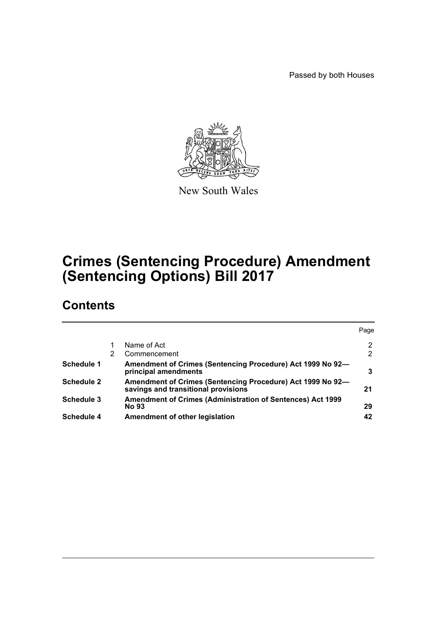Passed by both Houses



New South Wales

# **Crimes (Sentencing Procedure) Amendment (Sentencing Options) Bill 2017**

# **Contents**

|                   |   |                                                                                                   | Page           |
|-------------------|---|---------------------------------------------------------------------------------------------------|----------------|
|                   |   | Name of Act                                                                                       | $\overline{2}$ |
|                   | 2 | Commencement                                                                                      | 2              |
| <b>Schedule 1</b> |   | Amendment of Crimes (Sentencing Procedure) Act 1999 No 92-<br>principal amendments                | 3              |
| <b>Schedule 2</b> |   | Amendment of Crimes (Sentencing Procedure) Act 1999 No 92-<br>savings and transitional provisions | 21             |
| <b>Schedule 3</b> |   | <b>Amendment of Crimes (Administration of Sentences) Act 1999</b><br><b>No 93</b>                 | 29             |
| Schedule 4        |   | Amendment of other legislation                                                                    | 42             |
|                   |   |                                                                                                   |                |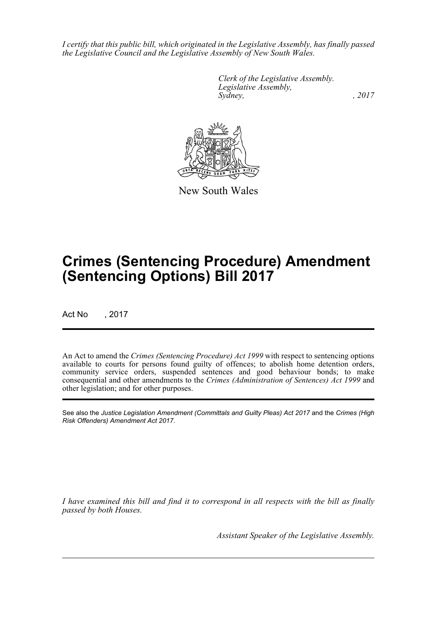*I certify that this public bill, which originated in the Legislative Assembly, has finally passed the Legislative Council and the Legislative Assembly of New South Wales.*

> *Clerk of the Legislative Assembly. Legislative Assembly, Sydney,* , 2017



New South Wales

# **Crimes (Sentencing Procedure) Amendment (Sentencing Options) Bill 2017**

Act No , 2017

An Act to amend the *Crimes (Sentencing Procedure) Act 1999* with respect to sentencing options available to courts for persons found guilty of offences; to abolish home detention orders, community service orders, suspended sentences and good behaviour bonds; to make consequential and other amendments to the *Crimes (Administration of Sentences) Act 1999* and other legislation; and for other purposes.

See also the *Justice Legislation Amendment (Committals and Guilty Pleas) Act 2017* and the *Crimes (High Risk Offenders) Amendment Act 2017*.

*I have examined this bill and find it to correspond in all respects with the bill as finally passed by both Houses.*

*Assistant Speaker of the Legislative Assembly.*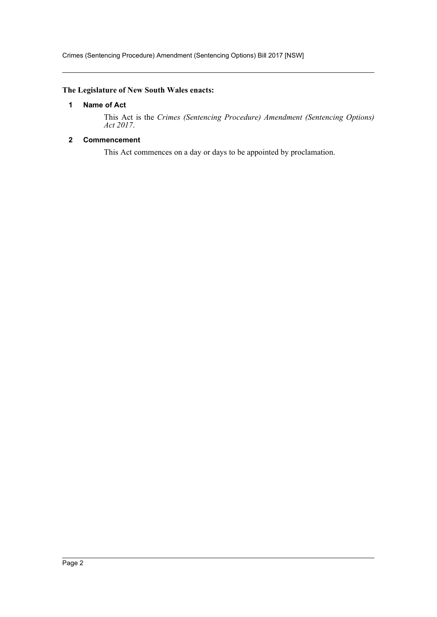## <span id="page-2-0"></span>**The Legislature of New South Wales enacts:**

#### **1 Name of Act**

This Act is the *Crimes (Sentencing Procedure) Amendment (Sentencing Options) Act 2017*.

## <span id="page-2-1"></span>**2 Commencement**

This Act commences on a day or days to be appointed by proclamation.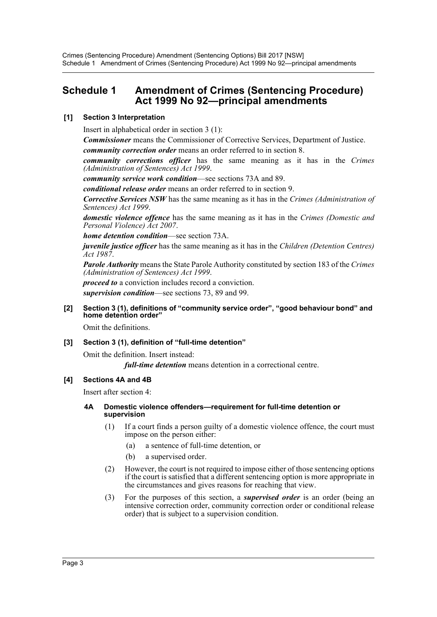## <span id="page-3-0"></span>**Schedule 1 Amendment of Crimes (Sentencing Procedure) Act 1999 No 92—principal amendments**

## **[1] Section 3 Interpretation**

Insert in alphabetical order in section 3 (1):

*Commissioner* means the Commissioner of Corrective Services, Department of Justice. *community correction order* means an order referred to in section 8.

*community corrections officer* has the same meaning as it has in the *Crimes (Administration of Sentences) Act 1999*.

*community service work condition*—see sections 73A and 89.

*conditional release order* means an order referred to in section 9.

*Corrective Services NSW* has the same meaning as it has in the *Crimes (Administration of Sentences) Act 1999*.

*domestic violence offence* has the same meaning as it has in the *Crimes (Domestic and Personal Violence) Act 2007*.

*home detention condition*—see section 73A.

*juvenile justice officer* has the same meaning as it has in the *Children (Detention Centres) Act 1987*.

*Parole Authority* means the State Parole Authority constituted by section 183 of the *Crimes (Administration of Sentences) Act 1999*.

*proceed to* a conviction includes record a conviction. *supervision condition*—see sections 73, 89 and 99.

#### **[2] Section 3 (1), definitions of "community service order", "good behaviour bond" and home detention order"**

Omit the definitions.

#### **[3] Section 3 (1), definition of "full-time detention"**

Omit the definition. Insert instead:

*full-time detention* means detention in a correctional centre.

#### **[4] Sections 4A and 4B**

Insert after section 4:

#### **4A Domestic violence offenders—requirement for full-time detention or supervision**

- (1) If a court finds a person guilty of a domestic violence offence, the court must impose on the person either:
	- (a) a sentence of full-time detention, or
	- (b) a supervised order.
- (2) However, the court is not required to impose either of those sentencing options if the court is satisfied that a different sentencing option is more appropriate in the circumstances and gives reasons for reaching that view.
- (3) For the purposes of this section, a *supervised order* is an order (being an intensive correction order, community correction order or conditional release order) that is subject to a supervision condition.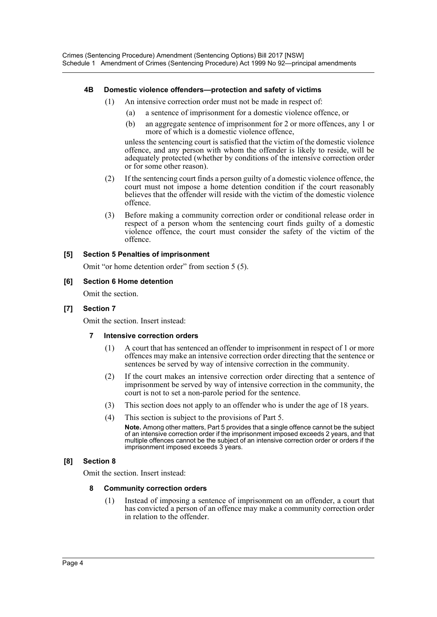## **4B Domestic violence offenders—protection and safety of victims**

- (1) An intensive correction order must not be made in respect of:
	- (a) a sentence of imprisonment for a domestic violence offence, or
	- (b) an aggregate sentence of imprisonment for 2 or more offences, any 1 or more of which is a domestic violence offence,

unless the sentencing court is satisfied that the victim of the domestic violence offence, and any person with whom the offender is likely to reside, will be adequately protected (whether by conditions of the intensive correction order or for some other reason).

- (2) If the sentencing court finds a person guilty of a domestic violence offence, the court must not impose a home detention condition if the court reasonably believes that the offender will reside with the victim of the domestic violence offence.
- (3) Before making a community correction order or conditional release order in respect of a person whom the sentencing court finds guilty of a domestic violence offence, the court must consider the safety of the victim of the offence.

## **[5] Section 5 Penalties of imprisonment**

Omit "or home detention order" from section 5 (5).

#### **[6] Section 6 Home detention**

Omit the section.

#### **[7] Section 7**

Omit the section. Insert instead:

#### **7 Intensive correction orders**

- (1) A court that has sentenced an offender to imprisonment in respect of 1 or more offences may make an intensive correction order directing that the sentence or sentences be served by way of intensive correction in the community.
- (2) If the court makes an intensive correction order directing that a sentence of imprisonment be served by way of intensive correction in the community, the court is not to set a non-parole period for the sentence.
- (3) This section does not apply to an offender who is under the age of 18 years.
- (4) This section is subject to the provisions of Part 5.

**Note.** Among other matters, Part 5 provides that a single offence cannot be the subject of an intensive correction order if the imprisonment imposed exceeds 2 years, and that multiple offences cannot be the subject of an intensive correction order or orders if the imprisonment imposed exceeds 3 years.

#### **[8] Section 8**

Omit the section. Insert instead:

#### **8 Community correction orders**

(1) Instead of imposing a sentence of imprisonment on an offender, a court that has convicted a person of an offence may make a community correction order in relation to the offender.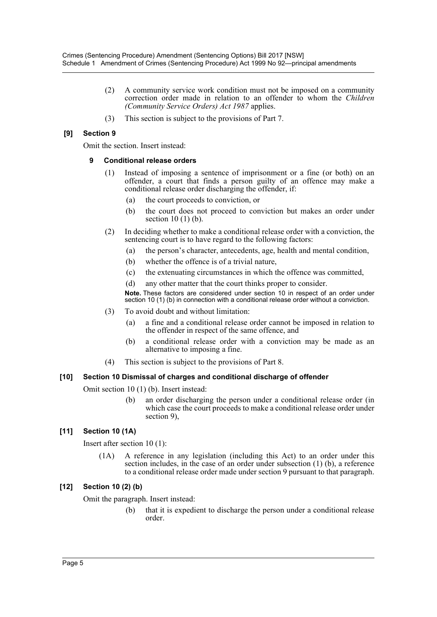- (2) A community service work condition must not be imposed on a community correction order made in relation to an offender to whom the *Children (Community Service Orders) Act 1987* applies.
- (3) This section is subject to the provisions of Part 7.

## **[9] Section 9**

Omit the section. Insert instead:

#### **9 Conditional release orders**

- (1) Instead of imposing a sentence of imprisonment or a fine (or both) on an offender, a court that finds a person guilty of an offence may make a conditional release order discharging the offender, if:
	- (a) the court proceeds to conviction, or
	- (b) the court does not proceed to conviction but makes an order under section  $10(1)$  (b).
- (2) In deciding whether to make a conditional release order with a conviction, the sentencing court is to have regard to the following factors:
	- (a) the person's character, antecedents, age, health and mental condition,
	- (b) whether the offence is of a trivial nature,
	- (c) the extenuating circumstances in which the offence was committed,
	- (d) any other matter that the court thinks proper to consider.

**Note.** These factors are considered under section 10 in respect of an order under section 10 (1) (b) in connection with a conditional release order without a conviction.

- (3) To avoid doubt and without limitation:
	- (a) a fine and a conditional release order cannot be imposed in relation to the offender in respect of the same offence, and
	- (b) a conditional release order with a conviction may be made as an alternative to imposing a fine.
- (4) This section is subject to the provisions of Part 8.

#### **[10] Section 10 Dismissal of charges and conditional discharge of offender**

Omit section 10 (1) (b). Insert instead:

(b) an order discharging the person under a conditional release order (in which case the court proceeds to make a conditional release order under section 9),

#### **[11] Section 10 (1A)**

Insert after section 10 (1):

(1A) A reference in any legislation (including this Act) to an order under this section includes, in the case of an order under subsection (1) (b), a reference to a conditional release order made under section 9 pursuant to that paragraph.

#### **[12] Section 10 (2) (b)**

Omit the paragraph. Insert instead:

(b) that it is expedient to discharge the person under a conditional release order.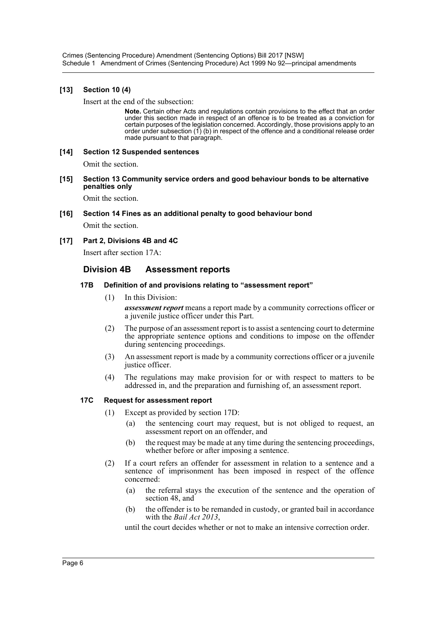Crimes (Sentencing Procedure) Amendment (Sentencing Options) Bill 2017 [NSW] Schedule 1 Amendment of Crimes (Sentencing Procedure) Act 1999 No 92—principal amendments

#### **[13] Section 10 (4)**

Insert at the end of the subsection:

**Note.** Certain other Acts and regulations contain provisions to the effect that an order under this section made in respect of an offence is to be treated as a conviction for certain purposes of the legislation concerned. Accordingly, those provisions apply to an order under subsection (1) (b) in respect of the offence and a conditional release order made pursuant to that paragraph.

## **[14] Section 12 Suspended sentences**

Omit the section.

**[15] Section 13 Community service orders and good behaviour bonds to be alternative penalties only**

Omit the section.

**[16] Section 14 Fines as an additional penalty to good behaviour bond**

Omit the section.

## **[17] Part 2, Divisions 4B and 4C**

Insert after section 17A:

## **Division 4B Assessment reports**

#### **17B Definition of and provisions relating to "assessment report"**

(1) In this Division:

*assessment report* means a report made by a community corrections officer or a juvenile justice officer under this Part.

- (2) The purpose of an assessment report is to assist a sentencing court to determine the appropriate sentence options and conditions to impose on the offender during sentencing proceedings.
- (3) An assessment report is made by a community corrections officer or a juvenile justice officer.
- (4) The regulations may make provision for or with respect to matters to be addressed in, and the preparation and furnishing of, an assessment report.

#### **17C Request for assessment report**

- (1) Except as provided by section 17D:
	- (a) the sentencing court may request, but is not obliged to request, an assessment report on an offender, and
	- (b) the request may be made at any time during the sentencing proceedings, whether before or after imposing a sentence.
- (2) If a court refers an offender for assessment in relation to a sentence and a sentence of imprisonment has been imposed in respect of the offence concerned:
	- (a) the referral stays the execution of the sentence and the operation of section 48, and
	- (b) the offender is to be remanded in custody, or granted bail in accordance with the *Bail Act 2013*,

until the court decides whether or not to make an intensive correction order.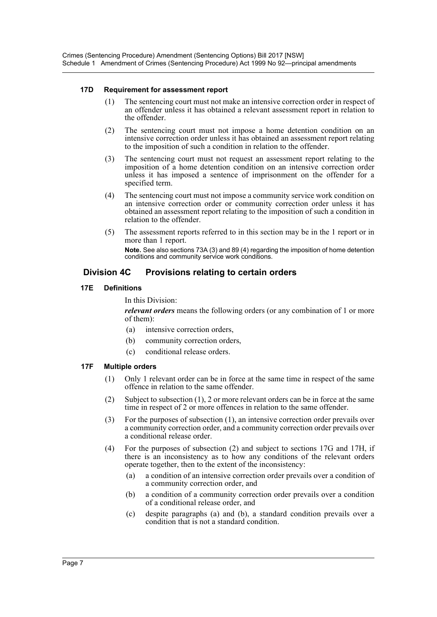#### **17D Requirement for assessment report**

- (1) The sentencing court must not make an intensive correction order in respect of an offender unless it has obtained a relevant assessment report in relation to the offender.
- (2) The sentencing court must not impose a home detention condition on an intensive correction order unless it has obtained an assessment report relating to the imposition of such a condition in relation to the offender.
- (3) The sentencing court must not request an assessment report relating to the imposition of a home detention condition on an intensive correction order unless it has imposed a sentence of imprisonment on the offender for a specified term.
- (4) The sentencing court must not impose a community service work condition on an intensive correction order or community correction order unless it has obtained an assessment report relating to the imposition of such a condition in relation to the offender.
- (5) The assessment reports referred to in this section may be in the 1 report or in more than 1 report.

**Note.** See also sections 73A (3) and 89 (4) regarding the imposition of home detention conditions and community service work conditions.

## **Division 4C Provisions relating to certain orders**

## **17E Definitions**

In this Division:

*relevant orders* means the following orders (or any combination of 1 or more of them):

- (a) intensive correction orders,
- (b) community correction orders,
- (c) conditional release orders.

#### **17F Multiple orders**

- (1) Only 1 relevant order can be in force at the same time in respect of the same offence in relation to the same offender.
- (2) Subject to subsection (1), 2 or more relevant orders can be in force at the same time in respect of 2 or more offences in relation to the same offender.
- (3) For the purposes of subsection (1), an intensive correction order prevails over a community correction order, and a community correction order prevails over a conditional release order.
- (4) For the purposes of subsection (2) and subject to sections 17G and 17H, if there is an inconsistency as to how any conditions of the relevant orders operate together, then to the extent of the inconsistency:
	- (a) a condition of an intensive correction order prevails over a condition of a community correction order, and
	- (b) a condition of a community correction order prevails over a condition of a conditional release order, and
	- (c) despite paragraphs (a) and (b), a standard condition prevails over a condition that is not a standard condition.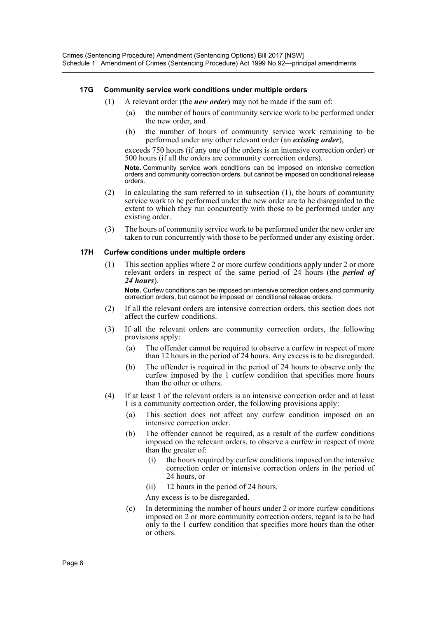## **17G Community service work conditions under multiple orders**

- (1) A relevant order (the *new order*) may not be made if the sum of:
	- (a) the number of hours of community service work to be performed under the new order, and
	- (b) the number of hours of community service work remaining to be performed under any other relevant order (an *existing order*),

exceeds 750 hours (if any one of the orders is an intensive correction order) or 500 hours (if all the orders are community correction orders).

**Note.** Community service work conditions can be imposed on intensive correction orders and community correction orders, but cannot be imposed on conditional release orders.

- (2) In calculating the sum referred to in subsection (1), the hours of community service work to be performed under the new order are to be disregarded to the extent to which they run concurrently with those to be performed under any existing order.
- (3) The hours of community service work to be performed under the new order are taken to run concurrently with those to be performed under any existing order.

#### **17H Curfew conditions under multiple orders**

(1) This section applies where 2 or more curfew conditions apply under 2 or more relevant orders in respect of the same period of 24 hours (the *period of 24 hours*).

**Note.** Curfew conditions can be imposed on intensive correction orders and community correction orders, but cannot be imposed on conditional release orders.

- (2) If all the relevant orders are intensive correction orders, this section does not affect the curfew conditions.
- (3) If all the relevant orders are community correction orders, the following provisions apply:
	- (a) The offender cannot be required to observe a curfew in respect of more than 12 hours in the period of 24 hours. Any excess is to be disregarded.
	- (b) The offender is required in the period of 24 hours to observe only the curfew imposed by the 1 curfew condition that specifies more hours than the other or others.
- (4) If at least 1 of the relevant orders is an intensive correction order and at least 1 is a community correction order, the following provisions apply:
	- (a) This section does not affect any curfew condition imposed on an intensive correction order.
	- (b) The offender cannot be required, as a result of the curfew conditions imposed on the relevant orders, to observe a curfew in respect of more than the greater of:
		- the hours required by curfew conditions imposed on the intensive correction order or intensive correction orders in the period of 24 hours, or
		- (ii) 12 hours in the period of 24 hours.

Any excess is to be disregarded.

(c) In determining the number of hours under 2 or more curfew conditions imposed on 2 or more community correction orders, regard is to be had only to the 1 curfew condition that specifies more hours than the other or others.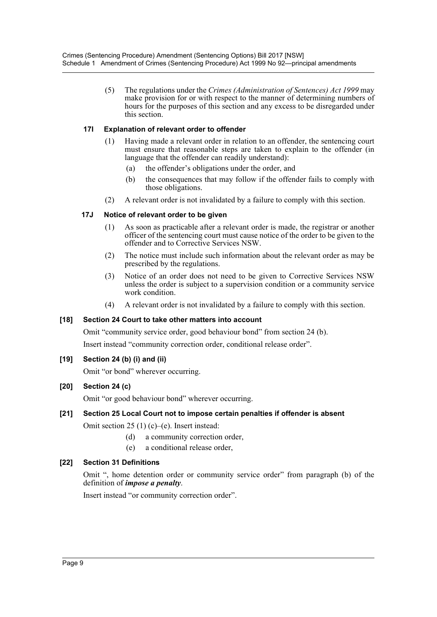(5) The regulations under the *Crimes (Administration of Sentences) Act 1999* may make provision for or with respect to the manner of determining numbers of hours for the purposes of this section and any excess to be disregarded under this section.

## **17I Explanation of relevant order to offender**

- Having made a relevant order in relation to an offender, the sentencing court must ensure that reasonable steps are taken to explain to the offender (in language that the offender can readily understand):
	- (a) the offender's obligations under the order, and
	- (b) the consequences that may follow if the offender fails to comply with those obligations.
- (2) A relevant order is not invalidated by a failure to comply with this section.

## **17J Notice of relevant order to be given**

- (1) As soon as practicable after a relevant order is made, the registrar or another officer of the sentencing court must cause notice of the order to be given to the offender and to Corrective Services NSW.
- (2) The notice must include such information about the relevant order as may be prescribed by the regulations.
- (3) Notice of an order does not need to be given to Corrective Services NSW unless the order is subject to a supervision condition or a community service work condition.
- (4) A relevant order is not invalidated by a failure to comply with this section.

## **[18] Section 24 Court to take other matters into account**

Omit "community service order, good behaviour bond" from section 24 (b). Insert instead "community correction order, conditional release order".

## **[19] Section 24 (b) (i) and (ii)**

Omit "or bond" wherever occurring.

## **[20] Section 24 (c)**

Omit "or good behaviour bond" wherever occurring.

## **[21] Section 25 Local Court not to impose certain penalties if offender is absent**

Omit section 25 (1) (c)–(e). Insert instead:

- (d) a community correction order,
- (e) a conditional release order,

#### **[22] Section 31 Definitions**

Omit ", home detention order or community service order" from paragraph (b) of the definition of *impose a penalty*.

Insert instead "or community correction order".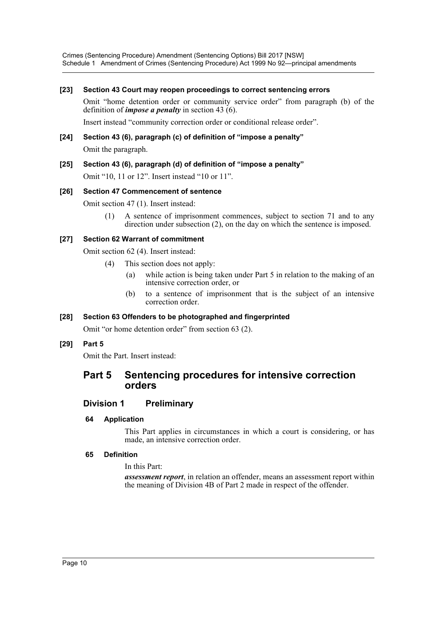Crimes (Sentencing Procedure) Amendment (Sentencing Options) Bill 2017 [NSW] Schedule 1 Amendment of Crimes (Sentencing Procedure) Act 1999 No 92—principal amendments

#### **[23] Section 43 Court may reopen proceedings to correct sentencing errors**

Omit "home detention order or community service order" from paragraph (b) of the definition of *impose a penalty* in section 43 (6).

Insert instead "community correction order or conditional release order".

#### **[24] Section 43 (6), paragraph (c) of definition of "impose a penalty"**

Omit the paragraph.

## **[25] Section 43 (6), paragraph (d) of definition of "impose a penalty"**

Omit "10, 11 or 12". Insert instead "10 or 11".

#### **[26] Section 47 Commencement of sentence**

Omit section 47 (1). Insert instead:

(1) A sentence of imprisonment commences, subject to section 71 and to any direction under subsection (2), on the day on which the sentence is imposed.

#### **[27] Section 62 Warrant of commitment**

Omit section 62 (4). Insert instead:

- (4) This section does not apply:
	- (a) while action is being taken under Part 5 in relation to the making of an intensive correction order, or
	- (b) to a sentence of imprisonment that is the subject of an intensive correction order.

#### **[28] Section 63 Offenders to be photographed and fingerprinted**

Omit "or home detention order" from section 63 (2).

#### **[29] Part 5**

Omit the Part. Insert instead:

## **Part 5 Sentencing procedures for intensive correction orders**

#### **Division 1 Preliminary**

#### **64 Application**

This Part applies in circumstances in which a court is considering, or has made, an intensive correction order.

#### **65 Definition**

In this Part:

*assessment report*, in relation an offender, means an assessment report within the meaning of Division 4B of Part 2 made in respect of the offender.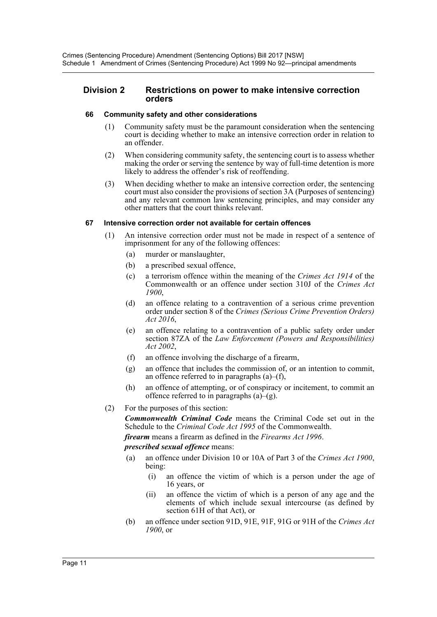#### **Division 2 Restrictions on power to make intensive correction orders**

## **66 Community safety and other considerations**

- (1) Community safety must be the paramount consideration when the sentencing court is deciding whether to make an intensive correction order in relation to an offender.
- (2) When considering community safety, the sentencing court is to assess whether making the order or serving the sentence by way of full-time detention is more likely to address the offender's risk of reoffending.
- (3) When deciding whether to make an intensive correction order, the sentencing court must also consider the provisions of section 3A (Purposes of sentencing) and any relevant common law sentencing principles, and may consider any other matters that the court thinks relevant.

#### **67 Intensive correction order not available for certain offences**

- (1) An intensive correction order must not be made in respect of a sentence of imprisonment for any of the following offences:
	- (a) murder or manslaughter,
	- (b) a prescribed sexual offence,
	- (c) a terrorism offence within the meaning of the *Crimes Act 1914* of the Commonwealth or an offence under section 310J of the *Crimes Act 1900*,
	- (d) an offence relating to a contravention of a serious crime prevention order under section 8 of the *Crimes (Serious Crime Prevention Orders) Act 2016*,
	- (e) an offence relating to a contravention of a public safety order under section 87ZA of the *Law Enforcement (Powers and Responsibilities) Act 2002*,
	- (f) an offence involving the discharge of a firearm,
	- (g) an offence that includes the commission of, or an intention to commit, an offence referred to in paragraphs  $(a)$ – $(f)$ ,
	- (h) an offence of attempting, or of conspiracy or incitement, to commit an offence referred to in paragraphs  $(a)$ – $(g)$ .
- (2) For the purposes of this section:

*Commonwealth Criminal Code* means the Criminal Code set out in the Schedule to the *Criminal Code Act 1995* of the Commonwealth.

*firearm* means a firearm as defined in the *Firearms Act 1996*.

*prescribed sexual offence* means:

- (a) an offence under Division 10 or 10A of Part 3 of the *Crimes Act 1900*, being:
	- (i) an offence the victim of which is a person under the age of 16 years, or
	- (ii) an offence the victim of which is a person of any age and the elements of which include sexual intercourse (as defined by section 61H of that Act), or
- (b) an offence under section 91D, 91E, 91F, 91G or 91H of the *Crimes Act 1900*, or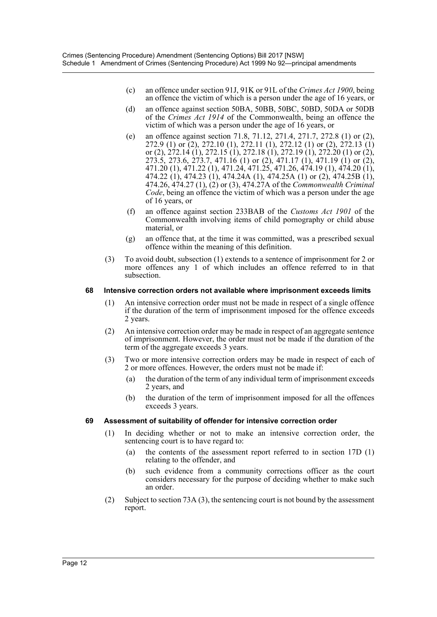- (c) an offence under section 91J, 91K or 91L of the *Crimes Act 1900*, being an offence the victim of which is a person under the age of 16 years, or
- (d) an offence against section 50BA, 50BB, 50BC, 50BD, 50DA or 50DB of the *Crimes Act 1914* of the Commonwealth, being an offence the victim of which was a person under the age of 16 years, or
- (e) an offence against section 71.8, 71.12, 271.4, 271.7, 272.8 (1) or (2), 272.9 (1) or (2), 272.10 (1), 272.11 (1), 272.12 (1) or (2), 272.13 (1) or (2), 272.14 (1), 272.15 (1), 272.18 (1), 272.19 (1), 272.20 (1) or (2), 273.5, 273.6, 273.7, 471.16 (1) or (2), 471.17 (1), 471.19 (1) or (2), 471.20 (1), 471.22 (1), 471.24, 471.25, 471.26, 474.19 (1), 474.20 (1), 474.22 (1), 474.23 (1), 474.24A (1), 474.25A (1) or (2), 474.25B (1), 474.26, 474.27 (1), (2) or (3), 474.27A of the *Commonwealth Criminal Code*, being an offence the victim of which was a person under the age of 16 years, or
- (f) an offence against section 233BAB of the *Customs Act 1901* of the Commonwealth involving items of child pornography or child abuse material, or
- (g) an offence that, at the time it was committed, was a prescribed sexual offence within the meaning of this definition.
- (3) To avoid doubt, subsection (1) extends to a sentence of imprisonment for 2 or more offences any 1 of which includes an offence referred to in that subsection.

#### **68 Intensive correction orders not available where imprisonment exceeds limits**

- (1) An intensive correction order must not be made in respect of a single offence if the duration of the term of imprisonment imposed for the offence exceeds 2 years.
- (2) An intensive correction order may be made in respect of an aggregate sentence of imprisonment. However, the order must not be made if the duration of the term of the aggregate exceeds 3 years.
- (3) Two or more intensive correction orders may be made in respect of each of 2 or more offences. However, the orders must not be made if:
	- (a) the duration of the term of any individual term of imprisonment exceeds 2 years, and
	- (b) the duration of the term of imprisonment imposed for all the offences exceeds 3 years.

#### **69 Assessment of suitability of offender for intensive correction order**

- (1) In deciding whether or not to make an intensive correction order, the sentencing court is to have regard to:
	- (a) the contents of the assessment report referred to in section 17D (1) relating to the offender, and
	- (b) such evidence from a community corrections officer as the court considers necessary for the purpose of deciding whether to make such an order.
- (2) Subject to section 73A (3), the sentencing court is not bound by the assessment report.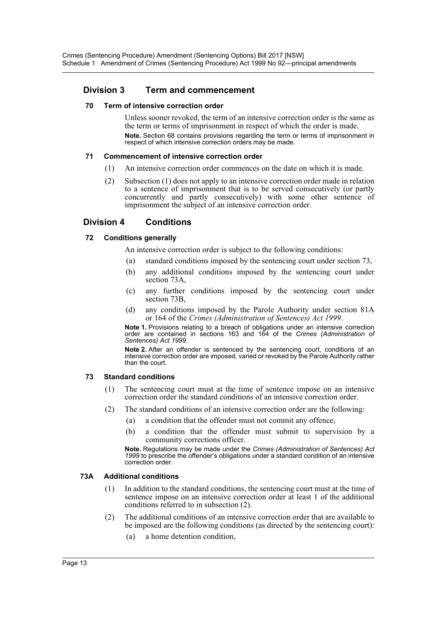## **Division 3 Term and commencement**

#### **70 Term of intensive correction order**

Unless sooner revoked, the term of an intensive correction order is the same as the term or terms of imprisonment in respect of which the order is made. **Note.** Section 68 contains provisions regarding the term or terms of imprisonment in respect of which intensive correction orders may be made.

## **71 Commencement of intensive correction order**

- (1) An intensive correction order commences on the date on which it is made.
- (2) Subsection (1) does not apply to an intensive correction order made in relation to a sentence of imprisonment that is to be served consecutively (or partly concurrently and partly consecutively) with some other sentence of imprisonment the subject of an intensive correction order.

## **Division 4 Conditions**

## **72 Conditions generally**

An intensive correction order is subject to the following conditions:

- (a) standard conditions imposed by the sentencing court under section 73,
- (b) any additional conditions imposed by the sentencing court under section 73A,
- (c) any further conditions imposed by the sentencing court under section 73B,
- (d) any conditions imposed by the Parole Authority under section 81A or 164 of the *Crimes (Administration of Sentences) Act 1999*.

**Note 1.** Provisions relating to a breach of obligations under an intensive correction order are contained in sections 163 and 164 of the *Crimes (Administration of Sentences) Act 1999*.

**Note 2.** After an offender is sentenced by the sentencing court, conditions of an intensive correction order are imposed, varied or revoked by the Parole Authority rather than the court.

## **73 Standard conditions**

- (1) The sentencing court must at the time of sentence impose on an intensive correction order the standard conditions of an intensive correction order.
- (2) The standard conditions of an intensive correction order are the following:
	- (a) a condition that the offender must not commit any offence,
		- (b) a condition that the offender must submit to supervision by a community corrections officer.

**Note.** Regulations may be made under the *Crimes (Administration of Sentences) Act 1999* to prescribe the offender's obligations under a standard condition of an intensive correction order.

#### **73A Additional conditions**

- (1) In addition to the standard conditions, the sentencing court must at the time of sentence impose on an intensive correction order at least 1 of the additional conditions referred to in subsection (2).
- (2) The additional conditions of an intensive correction order that are available to be imposed are the following conditions (as directed by the sentencing court):
	- (a) a home detention condition,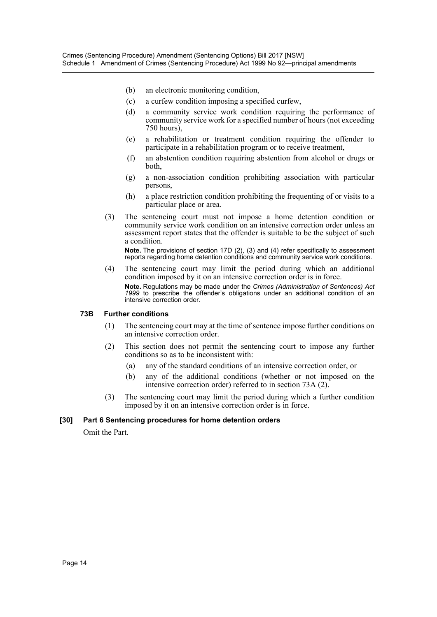- (b) an electronic monitoring condition,
- (c) a curfew condition imposing a specified curfew,
- (d) a community service work condition requiring the performance of community service work for a specified number of hours (not exceeding 750 hours),
- (e) a rehabilitation or treatment condition requiring the offender to participate in a rehabilitation program or to receive treatment,
- (f) an abstention condition requiring abstention from alcohol or drugs or both,
- (g) a non-association condition prohibiting association with particular persons,
- (h) a place restriction condition prohibiting the frequenting of or visits to a particular place or area.
- (3) The sentencing court must not impose a home detention condition or community service work condition on an intensive correction order unless an assessment report states that the offender is suitable to be the subject of such a condition.

**Note.** The provisions of section 17D (2), (3) and (4) refer specifically to assessment reports regarding home detention conditions and community service work conditions.

(4) The sentencing court may limit the period during which an additional condition imposed by it on an intensive correction order is in force. **Note.** Regulations may be made under the *Crimes (Administration of Sentences) Act 1999* to prescribe the offender's obligations under an additional condition of an intensive correction order.

#### **73B Further conditions**

- (1) The sentencing court may at the time of sentence impose further conditions on an intensive correction order.
- (2) This section does not permit the sentencing court to impose any further conditions so as to be inconsistent with:
	- (a) any of the standard conditions of an intensive correction order, or
	- (b) any of the additional conditions (whether or not imposed on the intensive correction order) referred to in section 73A (2).
- (3) The sentencing court may limit the period during which a further condition imposed by it on an intensive correction order is in force.

#### **[30] Part 6 Sentencing procedures for home detention orders**

Omit the Part.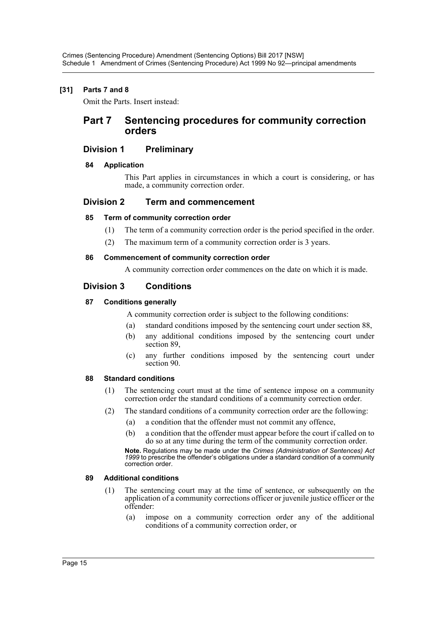## **[31] Parts 7 and 8**

Omit the Parts. Insert instead:

## **Part 7 Sentencing procedures for community correction orders**

## **Division 1 Preliminary**

## **84 Application**

This Part applies in circumstances in which a court is considering, or has made, a community correction order.

## **Division 2 Term and commencement**

## **85 Term of community correction order**

- (1) The term of a community correction order is the period specified in the order.
- (2) The maximum term of a community correction order is 3 years.

#### **86 Commencement of community correction order**

A community correction order commences on the date on which it is made.

## **Division 3 Conditions**

## **87 Conditions generally**

A community correction order is subject to the following conditions:

- (a) standard conditions imposed by the sentencing court under section 88,
- (b) any additional conditions imposed by the sentencing court under section 89,
- (c) any further conditions imposed by the sentencing court under section 90.

#### **88 Standard conditions**

- (1) The sentencing court must at the time of sentence impose on a community correction order the standard conditions of a community correction order.
- (2) The standard conditions of a community correction order are the following:
	- (a) a condition that the offender must not commit any offence,
	- (b) a condition that the offender must appear before the court if called on to do so at any time during the term of the community correction order.

**Note.** Regulations may be made under the *Crimes (Administration of Sentences) Act 1999* to prescribe the offender's obligations under a standard condition of a community correction order.

#### **89 Additional conditions**

- (1) The sentencing court may at the time of sentence, or subsequently on the application of a community corrections officer or juvenile justice officer or the offender:
	- (a) impose on a community correction order any of the additional conditions of a community correction order, or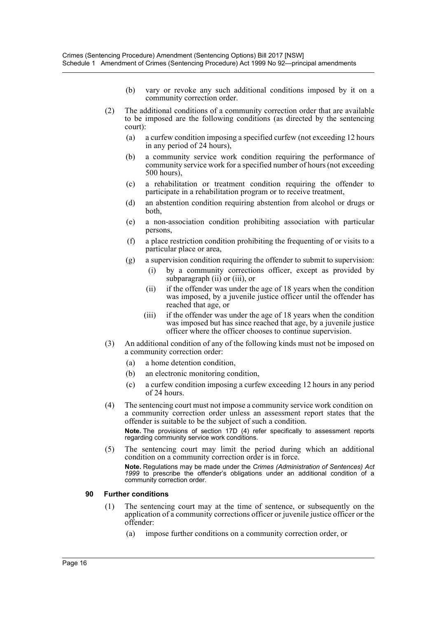- (b) vary or revoke any such additional conditions imposed by it on a community correction order.
- (2) The additional conditions of a community correction order that are available to be imposed are the following conditions (as directed by the sentencing court):
	- (a) a curfew condition imposing a specified curfew (not exceeding 12 hours in any period of 24 hours),
	- (b) a community service work condition requiring the performance of community service work for a specified number of hours (not exceeding 500 hours),
	- (c) a rehabilitation or treatment condition requiring the offender to participate in a rehabilitation program or to receive treatment,
	- (d) an abstention condition requiring abstention from alcohol or drugs or both,
	- (e) a non-association condition prohibiting association with particular persons,
	- (f) a place restriction condition prohibiting the frequenting of or visits to a particular place or area,
	- (g) a supervision condition requiring the offender to submit to supervision:
		- (i) by a community corrections officer, except as provided by subparagraph (ii) or (iii), or
		- (ii) if the offender was under the age of 18 years when the condition was imposed, by a juvenile justice officer until the offender has reached that age, or
		- (iii) if the offender was under the age of 18 years when the condition was imposed but has since reached that age, by a juvenile justice officer where the officer chooses to continue supervision.
- (3) An additional condition of any of the following kinds must not be imposed on a community correction order:
	- (a) a home detention condition,
	- (b) an electronic monitoring condition,
	- (c) a curfew condition imposing a curfew exceeding 12 hours in any period of 24 hours.
- (4) The sentencing court must not impose a community service work condition on a community correction order unless an assessment report states that the offender is suitable to be the subject of such a condition. **Note.** The provisions of section 17D (4) refer specifically to assessment reports

regarding community service work conditions.

(5) The sentencing court may limit the period during which an additional condition on a community correction order is in force.

**Note.** Regulations may be made under the *Crimes (Administration of Sentences) Act 1999* to prescribe the offender's obligations under an additional condition of a community correction order.

#### **90 Further conditions**

- (1) The sentencing court may at the time of sentence, or subsequently on the application of a community corrections officer or juvenile justice officer or the offender:
	- (a) impose further conditions on a community correction order, or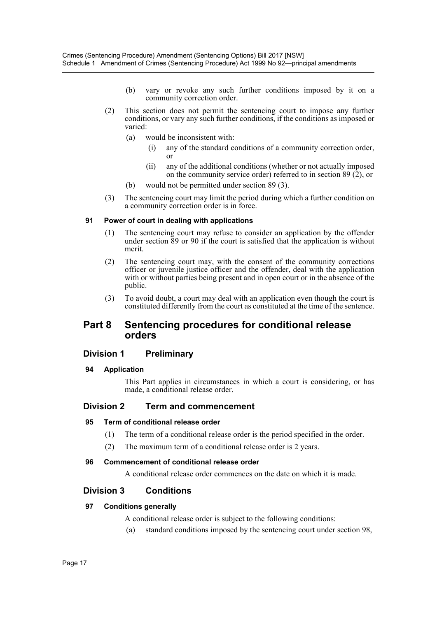- (b) vary or revoke any such further conditions imposed by it on a community correction order.
- (2) This section does not permit the sentencing court to impose any further conditions, or vary any such further conditions, if the conditions as imposed or varied:
	- (a) would be inconsistent with:
		- (i) any of the standard conditions of a community correction order, or
		- (ii) any of the additional conditions (whether or not actually imposed on the community service order) referred to in section 89 (2), or
	- (b) would not be permitted under section 89 (3).
- (3) The sentencing court may limit the period during which a further condition on a community correction order is in force.

## **91 Power of court in dealing with applications**

- (1) The sentencing court may refuse to consider an application by the offender under section 89 or 90 if the court is satisfied that the application is without merit.
- (2) The sentencing court may, with the consent of the community corrections officer or juvenile justice officer and the offender, deal with the application with or without parties being present and in open court or in the absence of the public.
- (3) To avoid doubt, a court may deal with an application even though the court is constituted differently from the court as constituted at the time of the sentence.

## **Part 8 Sentencing procedures for conditional release orders**

## **Division 1 Preliminary**

#### **94 Application**

This Part applies in circumstances in which a court is considering, or has made, a conditional release order.

## **Division 2 Term and commencement**

#### **95 Term of conditional release order**

- (1) The term of a conditional release order is the period specified in the order.
- (2) The maximum term of a conditional release order is 2 years.

#### **96 Commencement of conditional release order**

A conditional release order commences on the date on which it is made.

## **Division 3 Conditions**

## **97 Conditions generally**

A conditional release order is subject to the following conditions:

(a) standard conditions imposed by the sentencing court under section 98,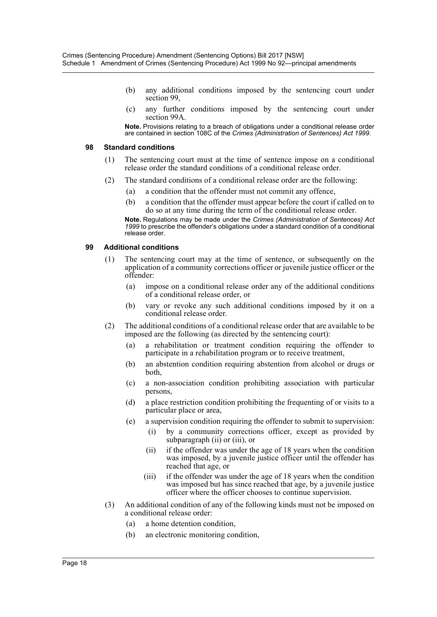- (b) any additional conditions imposed by the sentencing court under section 99,
- (c) any further conditions imposed by the sentencing court under section 99A.

**Note.** Provisions relating to a breach of obligations under a conditional release order are contained in section 108C of the *Crimes (Administration of Sentences) Act 1999*.

#### **98 Standard conditions**

- (1) The sentencing court must at the time of sentence impose on a conditional release order the standard conditions of a conditional release order.
- (2) The standard conditions of a conditional release order are the following:
	- (a) a condition that the offender must not commit any offence,
	- (b) a condition that the offender must appear before the court if called on to do so at any time during the term of the conditional release order.

**Note.** Regulations may be made under the *Crimes (Administration of Sentences) Act 1999* to prescribe the offender's obligations under a standard condition of a conditional release order.

#### **99 Additional conditions**

- (1) The sentencing court may at the time of sentence, or subsequently on the application of a community corrections officer or juvenile justice officer or the offender:
	- (a) impose on a conditional release order any of the additional conditions of a conditional release order, or
	- (b) vary or revoke any such additional conditions imposed by it on a conditional release order.
- (2) The additional conditions of a conditional release order that are available to be imposed are the following (as directed by the sentencing court):
	- (a) a rehabilitation or treatment condition requiring the offender to participate in a rehabilitation program or to receive treatment,
	- (b) an abstention condition requiring abstention from alcohol or drugs or both,
	- (c) a non-association condition prohibiting association with particular persons,
	- (d) a place restriction condition prohibiting the frequenting of or visits to a particular place or area,
	- (e) a supervision condition requiring the offender to submit to supervision:
		- (i) by a community corrections officer, except as provided by subparagraph (ii) or (iii), or
		- (ii) if the offender was under the age of 18 years when the condition was imposed, by a juvenile justice officer until the offender has reached that age, or
		- (iii) if the offender was under the age of 18 years when the condition was imposed but has since reached that age, by a juvenile justice officer where the officer chooses to continue supervision.
- (3) An additional condition of any of the following kinds must not be imposed on a conditional release order:
	- (a) a home detention condition,
	- (b) an electronic monitoring condition,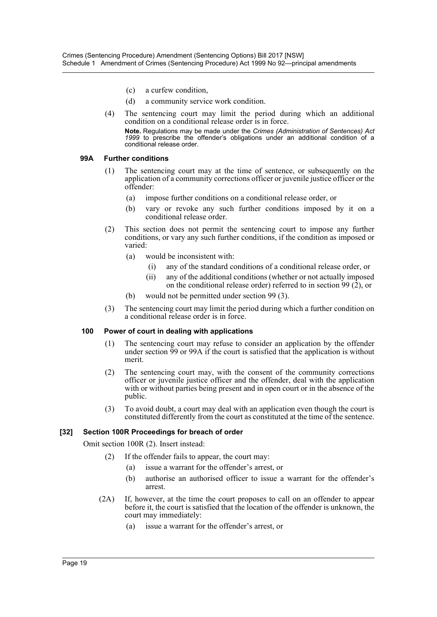- (c) a curfew condition,
- (d) a community service work condition.
- (4) The sentencing court may limit the period during which an additional condition on a conditional release order is in force.

**Note.** Regulations may be made under the *Crimes (Administration of Sentences) Act* 1999 to prescribe the offender's obligations under an additional condition of a conditional release order.

#### **99A Further conditions**

- (1) The sentencing court may at the time of sentence, or subsequently on the application of a community corrections officer or juvenile justice officer or the offender:
	- (a) impose further conditions on a conditional release order, or
	- (b) vary or revoke any such further conditions imposed by it on a conditional release order.
- (2) This section does not permit the sentencing court to impose any further conditions, or vary any such further conditions, if the condition as imposed or varied:
	- (a) would be inconsistent with:
		- (i) any of the standard conditions of a conditional release order, or
		- (ii) any of the additional conditions (whether or not actually imposed on the conditional release order) referred to in section 99  $(2)$ , or
	- (b) would not be permitted under section 99 (3).
- (3) The sentencing court may limit the period during which a further condition on a conditional release order is in force.

#### **100 Power of court in dealing with applications**

- (1) The sentencing court may refuse to consider an application by the offender under section 99 or 99A if the court is satisfied that the application is without merit.
- (2) The sentencing court may, with the consent of the community corrections officer or juvenile justice officer and the offender, deal with the application with or without parties being present and in open court or in the absence of the public.
- (3) To avoid doubt, a court may deal with an application even though the court is constituted differently from the court as constituted at the time of the sentence.

#### **[32] Section 100R Proceedings for breach of order**

Omit section 100R (2). Insert instead:

- (2) If the offender fails to appear, the court may:
	- (a) issue a warrant for the offender's arrest, or
	- (b) authorise an authorised officer to issue a warrant for the offender's arrest.
- (2A) If, however, at the time the court proposes to call on an offender to appear before it, the court is satisfied that the location of the offender is unknown, the court may immediately:
	- (a) issue a warrant for the offender's arrest, or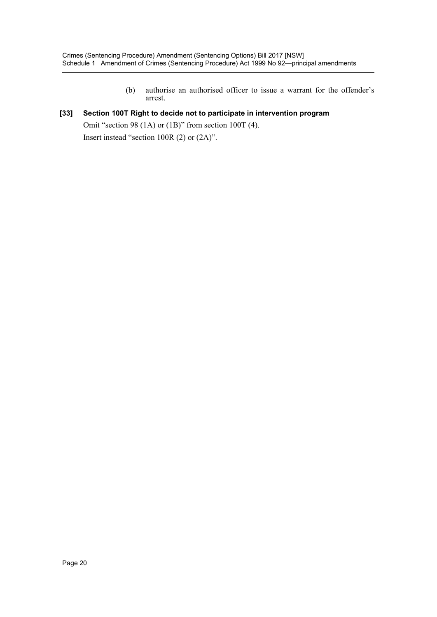(b) authorise an authorised officer to issue a warrant for the offender's arrest.

## **[33] Section 100T Right to decide not to participate in intervention program**

Omit "section 98 (1A) or (1B)" from section 100T (4). Insert instead "section 100R (2) or (2A)".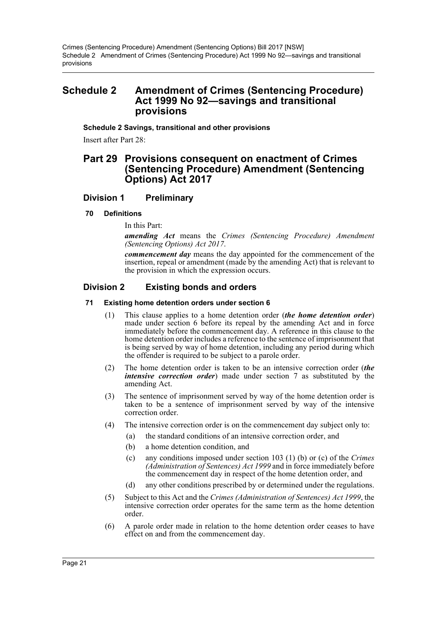## <span id="page-21-0"></span>**Schedule 2 Amendment of Crimes (Sentencing Procedure) Act 1999 No 92—savings and transitional provisions**

**Schedule 2 Savings, transitional and other provisions**

Insert after Part 28:

## **Part 29 Provisions consequent on enactment of Crimes (Sentencing Procedure) Amendment (Sentencing Options) Act 2017**

## **Division 1 Preliminary**

#### **70 Definitions**

In this Part:

*amending Act* means the *Crimes (Sentencing Procedure) Amendment (Sentencing Options) Act 2017*.

*commencement day* means the day appointed for the commencement of the insertion, repeal or amendment (made by the amending Act) that is relevant to the provision in which the expression occurs.

## **Division 2 Existing bonds and orders**

#### **71 Existing home detention orders under section 6**

- (1) This clause applies to a home detention order (*the home detention order*) made under section 6 before its repeal by the amending Act and in force immediately before the commencement day. A reference in this clause to the home detention order includes a reference to the sentence of imprisonment that is being served by way of home detention, including any period during which the offender is required to be subject to a parole order.
- (2) The home detention order is taken to be an intensive correction order (*the intensive correction order*) made under section 7 as substituted by the amending Act.
- (3) The sentence of imprisonment served by way of the home detention order is taken to be a sentence of imprisonment served by way of the intensive correction order.
- (4) The intensive correction order is on the commencement day subject only to:
	- (a) the standard conditions of an intensive correction order, and
	- (b) a home detention condition, and
	- (c) any conditions imposed under section 103 (1) (b) or (c) of the *Crimes (Administration of Sentences) Act 1999* and in force immediately before the commencement day in respect of the home detention order, and
	- (d) any other conditions prescribed by or determined under the regulations.
- (5) Subject to this Act and the *Crimes (Administration of Sentences) Act 1999*, the intensive correction order operates for the same term as the home detention order.
- (6) A parole order made in relation to the home detention order ceases to have effect on and from the commencement day.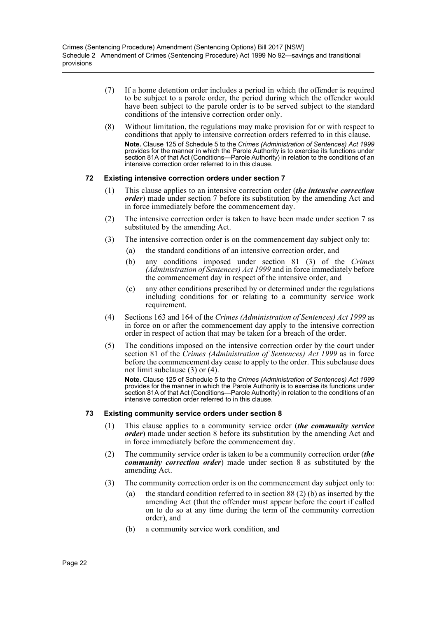- (7) If a home detention order includes a period in which the offender is required to be subject to a parole order, the period during which the offender would have been subject to the parole order is to be served subject to the standard conditions of the intensive correction order only.
- (8) Without limitation, the regulations may make provision for or with respect to conditions that apply to intensive correction orders referred to in this clause. **Note.** Clause 125 of Schedule 5 to the *Crimes (Administration of Sentences) Act 1999* provides for the manner in which the Parole Authority is to exercise its functions under section 81A of that Act (Conditions—Parole Authority) in relation to the conditions of an intensive correction order referred to in this clause.

## **72 Existing intensive correction orders under section 7**

- (1) This clause applies to an intensive correction order (*the intensive correction order*) made under section 7 before its substitution by the amending Act and in force immediately before the commencement day.
- (2) The intensive correction order is taken to have been made under section 7 as substituted by the amending Act.
- (3) The intensive correction order is on the commencement day subject only to:
	- (a) the standard conditions of an intensive correction order, and
	- (b) any conditions imposed under section 81 (3) of the *Crimes (Administration of Sentences) Act 1999* and in force immediately before the commencement day in respect of the intensive order, and
	- (c) any other conditions prescribed by or determined under the regulations including conditions for or relating to a community service work requirement.
- (4) Sections 163 and 164 of the *Crimes (Administration of Sentences) Act 1999* as in force on or after the commencement day apply to the intensive correction order in respect of action that may be taken for a breach of the order.
- (5) The conditions imposed on the intensive correction order by the court under section 81 of the *Crimes (Administration of Sentences) Act 1999* as in force before the commencement day cease to apply to the order. This subclause does not limit subclause (3) or (4).

**Note.** Clause 125 of Schedule 5 to the *Crimes (Administration of Sentences) Act 1999* provides for the manner in which the Parole Authority is to exercise its functions under section 81A of that Act (Conditions—Parole Authority) in relation to the conditions of an intensive correction order referred to in this clause.

#### **73 Existing community service orders under section 8**

- (1) This clause applies to a community service order (*the community service order*) made under section 8 before its substitution by the amending Act and in force immediately before the commencement day.
- (2) The community service order is taken to be a community correction order (*the community correction order*) made under section 8 as substituted by the amending Act.
- (3) The community correction order is on the commencement day subject only to:
	- (a) the standard condition referred to in section 88 (2) (b) as inserted by the amending Act (that the offender must appear before the court if called on to do so at any time during the term of the community correction order), and
	- (b) a community service work condition, and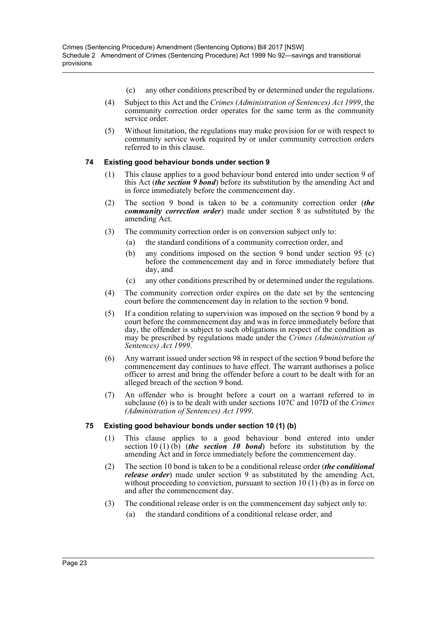- (c) any other conditions prescribed by or determined under the regulations.
- (4) Subject to this Act and the *Crimes (Administration of Sentences) Act 1999*, the community correction order operates for the same term as the community service order.
- (5) Without limitation, the regulations may make provision for or with respect to community service work required by or under community correction orders referred to in this clause.

## **74 Existing good behaviour bonds under section 9**

- (1) This clause applies to a good behaviour bond entered into under section 9 of this Act (*the section 9 bond*) before its substitution by the amending Act and in force immediately before the commencement day.
- (2) The section 9 bond is taken to be a community correction order (*the community correction order*) made under section 8 as substituted by the amending Act.
- (3) The community correction order is on conversion subject only to:
	- (a) the standard conditions of a community correction order, and
	- (b) any conditions imposed on the section 9 bond under section 95 (c) before the commencement day and in force immediately before that day, and
	- (c) any other conditions prescribed by or determined under the regulations.
- (4) The community correction order expires on the date set by the sentencing court before the commencement day in relation to the section 9 bond.
- (5) If a condition relating to supervision was imposed on the section 9 bond by a court before the commencement day and was in force immediately before that day, the offender is subject to such obligations in respect of the condition as may be prescribed by regulations made under the *Crimes (Administration of Sentences) Act 1999*.
- (6) Any warrant issued under section 98 in respect of the section 9 bond before the commencement day continues to have effect. The warrant authorises a police officer to arrest and bring the offender before a court to be dealt with for an alleged breach of the section 9 bond.
- (7) An offender who is brought before a court on a warrant referred to in subclause (6) is to be dealt with under sections 107C and 107D of the *Crimes (Administration of Sentences) Act 1999*.

## **75 Existing good behaviour bonds under section 10 (1) (b)**

- (1) This clause applies to a good behaviour bond entered into under section  $10(1)(\overline{b})$  (*the section 10 bond*) before its substitution by the amending Act and in force immediately before the commencement day.
- (2) The section 10 bond is taken to be a conditional release order (*the conditional release order*) made under section 9 as substituted by the amending Act, without proceeding to conviction, pursuant to section  $10(1)(b)$  as in force on and after the commencement day.
- (3) The conditional release order is on the commencement day subject only to:
	- (a) the standard conditions of a conditional release order, and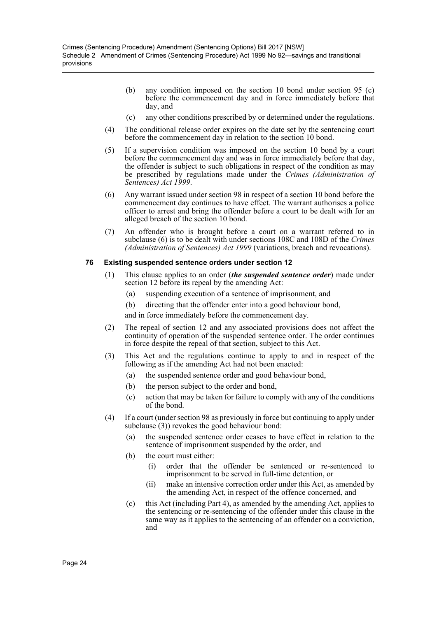- (b) any condition imposed on the section 10 bond under section 95 (c) before the commencement day and in force immediately before that day, and
- (c) any other conditions prescribed by or determined under the regulations.
- (4) The conditional release order expires on the date set by the sentencing court before the commencement day in relation to the section 10 bond.
- (5) If a supervision condition was imposed on the section 10 bond by a court before the commencement day and was in force immediately before that day, the offender is subject to such obligations in respect of the condition as may be prescribed by regulations made under the *Crimes (Administration of Sentences) Act 1999*.
- (6) Any warrant issued under section 98 in respect of a section 10 bond before the commencement day continues to have effect. The warrant authorises a police officer to arrest and bring the offender before a court to be dealt with for an alleged breach of the section 10 bond.
- (7) An offender who is brought before a court on a warrant referred to in subclause (6) is to be dealt with under sections 108C and 108D of the *Crimes (Administration of Sentences) Act 1999* (variations, breach and revocations).

#### **76 Existing suspended sentence orders under section 12**

- (1) This clause applies to an order (*the suspended sentence order*) made under section 12 before its repeal by the amending Act:
	- (a) suspending execution of a sentence of imprisonment, and
	- (b) directing that the offender enter into a good behaviour bond,

and in force immediately before the commencement day.

- (2) The repeal of section 12 and any associated provisions does not affect the continuity of operation of the suspended sentence order. The order continues in force despite the repeal of that section, subject to this Act.
- (3) This Act and the regulations continue to apply to and in respect of the following as if the amending Act had not been enacted:
	- (a) the suspended sentence order and good behaviour bond,
	- (b) the person subject to the order and bond,
	- (c) action that may be taken for failure to comply with any of the conditions of the bond.
- (4) If a court (under section 98 as previously in force but continuing to apply under subclause (3)) revokes the good behaviour bond:
	- (a) the suspended sentence order ceases to have effect in relation to the sentence of imprisonment suspended by the order, and
	- (b) the court must either:
		- (i) order that the offender be sentenced or re-sentenced to imprisonment to be served in full-time detention, or
		- (ii) make an intensive correction order under this Act, as amended by the amending Act, in respect of the offence concerned, and
	- (c) this Act (including Part 4), as amended by the amending Act, applies to the sentencing or re-sentencing of the offender under this clause in the same way as it applies to the sentencing of an offender on a conviction, and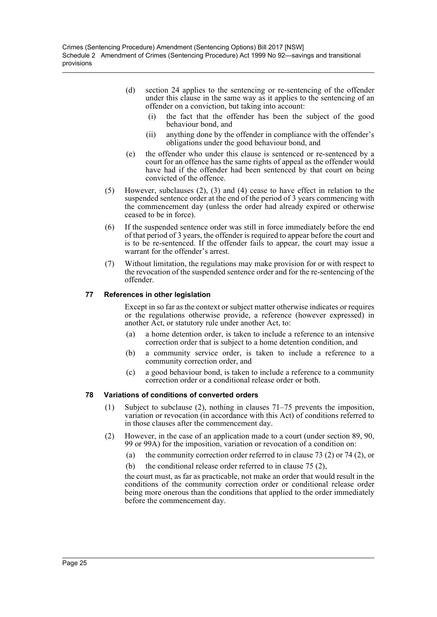- (d) section 24 applies to the sentencing or re-sentencing of the offender under this clause in the same way as it applies to the sentencing of an offender on a conviction, but taking into account:
	- (i) the fact that the offender has been the subject of the good behaviour bond, and
	- (ii) anything done by the offender in compliance with the offender's obligations under the good behaviour bond, and
- (e) the offender who under this clause is sentenced or re-sentenced by a court for an offence has the same rights of appeal as the offender would have had if the offender had been sentenced by that court on being convicted of the offence.
- (5) However, subclauses (2), (3) and (4) cease to have effect in relation to the suspended sentence order at the end of the period of 3 years commencing with the commencement day (unless the order had already expired or otherwise ceased to be in force).
- (6) If the suspended sentence order was still in force immediately before the end of that period of 3 years, the offender is required to appear before the court and is to be re-sentenced. If the offender fails to appear, the court may issue a warrant for the offender's arrest.
- (7) Without limitation, the regulations may make provision for or with respect to the revocation of the suspended sentence order and for the re-sentencing of the offender.

#### **77 References in other legislation**

Except in so far as the context or subject matter otherwise indicates or requires or the regulations otherwise provide, a reference (however expressed) in another Act, or statutory rule under another Act, to:

- (a) a home detention order, is taken to include a reference to an intensive correction order that is subject to a home detention condition, and
- (b) a community service order, is taken to include a reference to a community correction order, and
- (c) a good behaviour bond, is taken to include a reference to a community correction order or a conditional release order or both.

#### **78 Variations of conditions of converted orders**

- (1) Subject to subclause (2), nothing in clauses 71–75 prevents the imposition, variation or revocation (in accordance with this Act) of conditions referred to in those clauses after the commencement day.
- (2) However, in the case of an application made to a court (under section 89, 90, 99 or 99A) for the imposition, variation or revocation of a condition on:
	- (a) the community correction order referred to in clause 73 (2) or 74 (2), or
	- (b) the conditional release order referred to in clause 75 (2),

the court must, as far as practicable, not make an order that would result in the conditions of the community correction order or conditional release order being more onerous than the conditions that applied to the order immediately before the commencement day.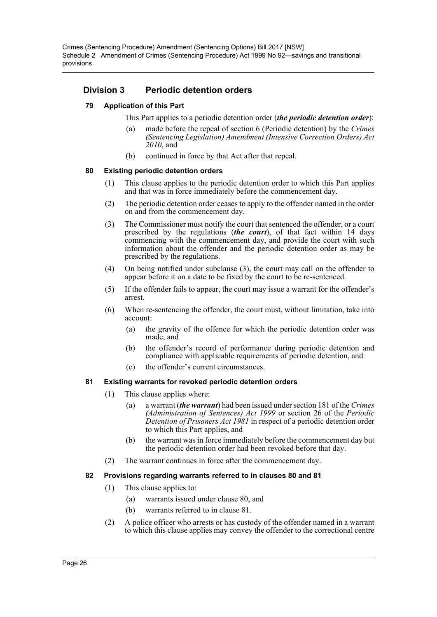## **Division 3 Periodic detention orders**

## **79 Application of this Part**

This Part applies to a periodic detention order (*the periodic detention order*):

- (a) made before the repeal of section 6 (Periodic detention) by the *Crimes (Sentencing Legislation) Amendment (Intensive Correction Orders) Act 2010*, and
- (b) continued in force by that Act after that repeal.

#### **80 Existing periodic detention orders**

- (1) This clause applies to the periodic detention order to which this Part applies and that was in force immediately before the commencement day.
- (2) The periodic detention order ceases to apply to the offender named in the order on and from the commencement day.
- (3) The Commissioner must notify the court that sentenced the offender, or a court prescribed by the regulations (*the court*), of that fact within 14 days commencing with the commencement day, and provide the court with such information about the offender and the periodic detention order as may be prescribed by the regulations.
- (4) On being notified under subclause (3), the court may call on the offender to appear before it on a date to be fixed by the court to be re-sentenced.
- (5) If the offender fails to appear, the court may issue a warrant for the offender's arrest.
- (6) When re-sentencing the offender, the court must, without limitation, take into account:
	- (a) the gravity of the offence for which the periodic detention order was made, and
	- (b) the offender's record of performance during periodic detention and compliance with applicable requirements of periodic detention, and
	- (c) the offender's current circumstances.

#### **81 Existing warrants for revoked periodic detention orders**

- (1) This clause applies where:
	- (a) a warrant (*the warrant*) had been issued under section 181 of the *Crimes (Administration of Sentences) Act 1999* or section 26 of the *Periodic Detention of Prisoners Act 1981* in respect of a periodic detention order to which this Part applies, and
	- (b) the warrant was in force immediately before the commencement day but the periodic detention order had been revoked before that day.
- (2) The warrant continues in force after the commencement day.

#### **82 Provisions regarding warrants referred to in clauses 80 and 81**

- (1) This clause applies to:
	- (a) warrants issued under clause 80, and
	- (b) warrants referred to in clause 81.
- (2) A police officer who arrests or has custody of the offender named in a warrant to which this clause applies may convey the offender to the correctional centre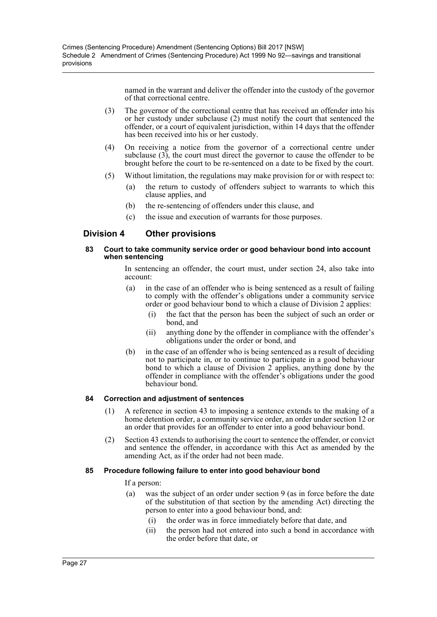named in the warrant and deliver the offender into the custody of the governor of that correctional centre.

- (3) The governor of the correctional centre that has received an offender into his or her custody under subclause (2) must notify the court that sentenced the offender, or a court of equivalent jurisdiction, within 14 days that the offender has been received into his or her custody.
- (4) On receiving a notice from the governor of a correctional centre under subclause (3), the court must direct the governor to cause the offender to be brought before the court to be re-sentenced on a date to be fixed by the court.
- (5) Without limitation, the regulations may make provision for or with respect to:
	- (a) the return to custody of offenders subject to warrants to which this clause applies, and
	- (b) the re-sentencing of offenders under this clause, and
	- (c) the issue and execution of warrants for those purposes.

## **Division 4 Other provisions**

#### **83 Court to take community service order or good behaviour bond into account when sentencing**

In sentencing an offender, the court must, under section 24, also take into account:

- (a) in the case of an offender who is being sentenced as a result of failing to comply with the offender's obligations under a community service order or good behaviour bond to which a clause of Division 2 applies:
	- (i) the fact that the person has been the subject of such an order or bond, and
	- (ii) anything done by the offender in compliance with the offender's obligations under the order or bond, and
- (b) in the case of an offender who is being sentenced as a result of deciding not to participate in, or to continue to participate in a good behaviour bond to which a clause of Division 2 applies, anything done by the offender in compliance with the offender's obligations under the good behaviour bond.

#### **84 Correction and adjustment of sentences**

- (1) A reference in section 43 to imposing a sentence extends to the making of a home detention order, a community service order, an order under section 12 or an order that provides for an offender to enter into a good behaviour bond.
- (2) Section 43 extends to authorising the court to sentence the offender, or convict and sentence the offender, in accordance with this Act as amended by the amending Act, as if the order had not been made.

#### **85 Procedure following failure to enter into good behaviour bond**

If a person:

- (a) was the subject of an order under section 9 (as in force before the date of the substitution of that section by the amending Act) directing the person to enter into a good behaviour bond, and:
	- (i) the order was in force immediately before that date, and
	- (ii) the person had not entered into such a bond in accordance with the order before that date, or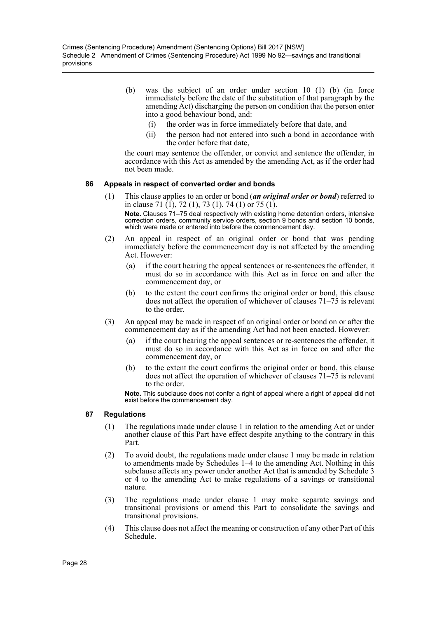- (b) was the subject of an order under section 10 (1) (b) (in force immediately before the date of the substitution of that paragraph by the amending Act) discharging the person on condition that the person enter into a good behaviour bond, and:
	- (i) the order was in force immediately before that date, and
	- (ii) the person had not entered into such a bond in accordance with the order before that date,

the court may sentence the offender, or convict and sentence the offender, in accordance with this Act as amended by the amending Act, as if the order had not been made.

#### **86 Appeals in respect of converted order and bonds**

- (1) This clause applies to an order or bond (*an original order or bond*) referred to in clause 71 (1), 72 (1), 73 (1), 74 (1) or 75 (1). **Note.** Clauses 71–75 deal respectively with existing home detention orders, intensive correction orders, community service orders, section 9 bonds and section 10 bonds, which were made or entered into before the commencement day.
- (2) An appeal in respect of an original order or bond that was pending immediately before the commencement day is not affected by the amending Act. However:
	- (a) if the court hearing the appeal sentences or re-sentences the offender, it must do so in accordance with this Act as in force on and after the commencement day, or
	- (b) to the extent the court confirms the original order or bond, this clause does not affect the operation of whichever of clauses 71–75 is relevant to the order.
- (3) An appeal may be made in respect of an original order or bond on or after the commencement day as if the amending Act had not been enacted. However:
	- (a) if the court hearing the appeal sentences or re-sentences the offender, it must do so in accordance with this Act as in force on and after the commencement day, or
	- (b) to the extent the court confirms the original order or bond, this clause does not affect the operation of whichever of clauses 71–75 is relevant to the order.

**Note.** This subclause does not confer a right of appeal where a right of appeal did not exist before the commencement day.

#### **87 Regulations**

- (1) The regulations made under clause 1 in relation to the amending Act or under another clause of this Part have effect despite anything to the contrary in this Part.
- (2) To avoid doubt, the regulations made under clause 1 may be made in relation to amendments made by Schedules 1–4 to the amending Act. Nothing in this subclause affects any power under another Act that is amended by Schedule 3 or 4 to the amending Act to make regulations of a savings or transitional nature.
- (3) The regulations made under clause 1 may make separate savings and transitional provisions or amend this Part to consolidate the savings and transitional provisions.
- (4) This clause does not affect the meaning or construction of any other Part of this Schedule.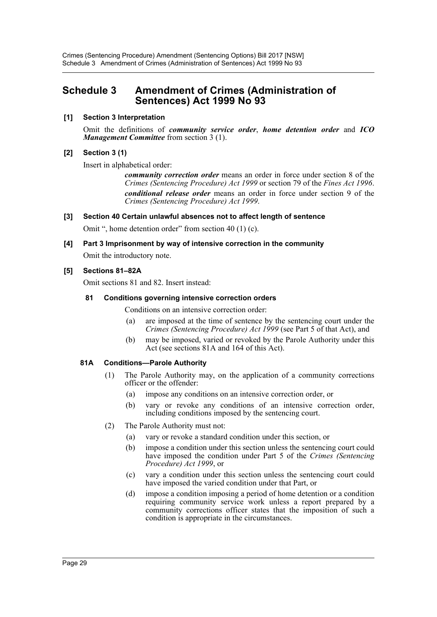## <span id="page-29-0"></span>**Schedule 3 Amendment of Crimes (Administration of Sentences) Act 1999 No 93**

## **[1] Section 3 Interpretation**

Omit the definitions of *community service order*, *home detention order* and *ICO Management Committee* from section 3 (1).

## **[2] Section 3 (1)**

Insert in alphabetical order:

*community correction order* means an order in force under section 8 of the *Crimes (Sentencing Procedure) Act 1999* or section 79 of the *Fines Act 1996*. *conditional release order* means an order in force under section 9 of the *Crimes (Sentencing Procedure) Act 1999*.

## **[3] Section 40 Certain unlawful absences not to affect length of sentence**

Omit ", home detention order" from section 40 (1) (c).

## **[4] Part 3 Imprisonment by way of intensive correction in the community**

Omit the introductory note.

#### **[5] Sections 81–82A**

Omit sections 81 and 82. Insert instead:

#### **81 Conditions governing intensive correction orders**

Conditions on an intensive correction order:

- (a) are imposed at the time of sentence by the sentencing court under the *Crimes (Sentencing Procedure) Act 1999* (see Part 5 of that Act), and
- (b) may be imposed, varied or revoked by the Parole Authority under this Act (see sections 81A and 164 of this Act).

#### **81A Conditions—Parole Authority**

- (1) The Parole Authority may, on the application of a community corrections officer or the offender:
	- (a) impose any conditions on an intensive correction order, or
	- (b) vary or revoke any conditions of an intensive correction order, including conditions imposed by the sentencing court.
- (2) The Parole Authority must not:
	- (a) vary or revoke a standard condition under this section, or
	- (b) impose a condition under this section unless the sentencing court could have imposed the condition under Part 5 of the *Crimes (Sentencing Procedure) Act 1999*, or
	- (c) vary a condition under this section unless the sentencing court could have imposed the varied condition under that Part, or
	- (d) impose a condition imposing a period of home detention or a condition requiring community service work unless a report prepared by a community corrections officer states that the imposition of such a condition is appropriate in the circumstances.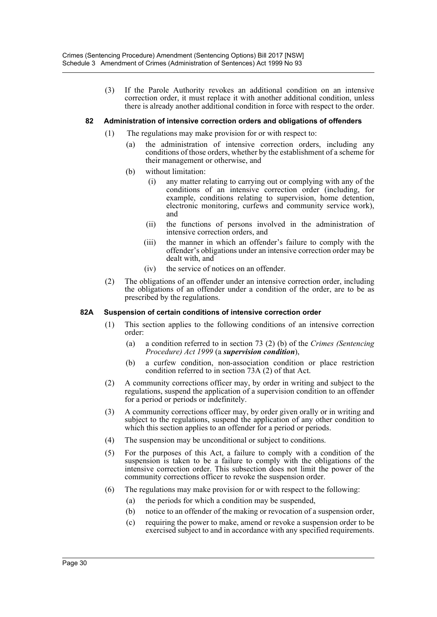(3) If the Parole Authority revokes an additional condition on an intensive correction order, it must replace it with another additional condition, unless there is already another additional condition in force with respect to the order.

#### **82 Administration of intensive correction orders and obligations of offenders**

- (1) The regulations may make provision for or with respect to:
	- (a) the administration of intensive correction orders, including any conditions of those orders, whether by the establishment of a scheme for their management or otherwise, and
	- (b) without limitation:
		- (i) any matter relating to carrying out or complying with any of the conditions of an intensive correction order (including, for example, conditions relating to supervision, home detention, electronic monitoring, curfews and community service work), and
		- (ii) the functions of persons involved in the administration of intensive correction orders, and
		- (iii) the manner in which an offender's failure to comply with the offender's obligations under an intensive correction order may be dealt with, and
		- (iv) the service of notices on an offender.
- (2) The obligations of an offender under an intensive correction order, including the obligations of an offender under a condition of the order, are to be as prescribed by the regulations.

#### **82A Suspension of certain conditions of intensive correction order**

- (1) This section applies to the following conditions of an intensive correction order:
	- (a) a condition referred to in section 73 (2) (b) of the *Crimes (Sentencing Procedure) Act 1999* (a *supervision condition*),
	- (b) a curfew condition, non-association condition or place restriction condition referred to in section 73A (2) of that Act.
- (2) A community corrections officer may, by order in writing and subject to the regulations, suspend the application of a supervision condition to an offender for a period or periods or indefinitely.
- (3) A community corrections officer may, by order given orally or in writing and subject to the regulations, suspend the application of any other condition to which this section applies to an offender for a period or periods.
- (4) The suspension may be unconditional or subject to conditions.
- (5) For the purposes of this Act, a failure to comply with a condition of the suspension is taken to be a failure to comply with the obligations of the intensive correction order. This subsection does not limit the power of the community corrections officer to revoke the suspension order.
- (6) The regulations may make provision for or with respect to the following:
	- (a) the periods for which a condition may be suspended,
	- (b) notice to an offender of the making or revocation of a suspension order,
	- (c) requiring the power to make, amend or revoke a suspension order to be exercised subject to and in accordance with any specified requirements.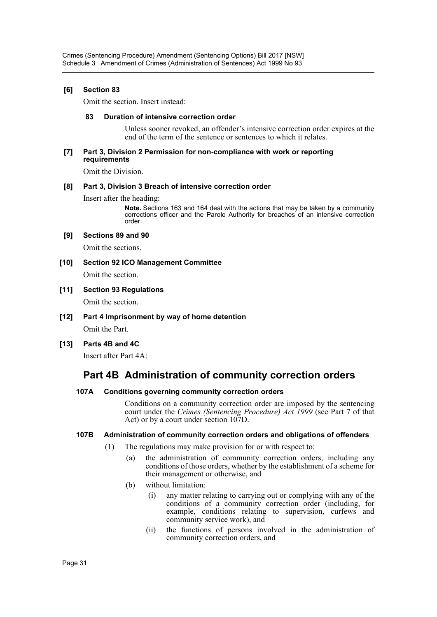## **[6] Section 83**

Omit the section. Insert instead:

#### **83 Duration of intensive correction order**

Unless sooner revoked, an offender's intensive correction order expires at the end of the term of the sentence or sentences to which it relates.

#### **[7] Part 3, Division 2 Permission for non-compliance with work or reporting requirements**

Omit the Division.

#### **[8] Part 3, Division 3 Breach of intensive correction order**

Insert after the heading:

**Note.** Sections 163 and 164 deal with the actions that may be taken by a community corrections officer and the Parole Authority for breaches of an intensive correction order.

#### **[9] Sections 89 and 90**

Omit the sections.

#### **[10] Section 92 ICO Management Committee**

Omit the section.

#### **[11] Section 93 Regulations**

Omit the section.

- **[12] Part 4 Imprisonment by way of home detention** Omit the Part.
- **[13] Parts 4B and 4C**

Insert after Part 4A:

## **Part 4B Administration of community correction orders**

#### **107A Conditions governing community correction orders**

Conditions on a community correction order are imposed by the sentencing court under the *Crimes (Sentencing Procedure) Act 1999* (see Part 7 of that Act) or by a court under section 107D.

#### **107B Administration of community correction orders and obligations of offenders**

- (1) The regulations may make provision for or with respect to:
	- (a) the administration of community correction orders, including any conditions of those orders, whether by the establishment of a scheme for their management or otherwise, and
	- (b) without limitation:
		- (i) any matter relating to carrying out or complying with any of the conditions of a community correction order (including, for example, conditions relating to supervision, curfews and community service work), and
		- (ii) the functions of persons involved in the administration of community correction orders, and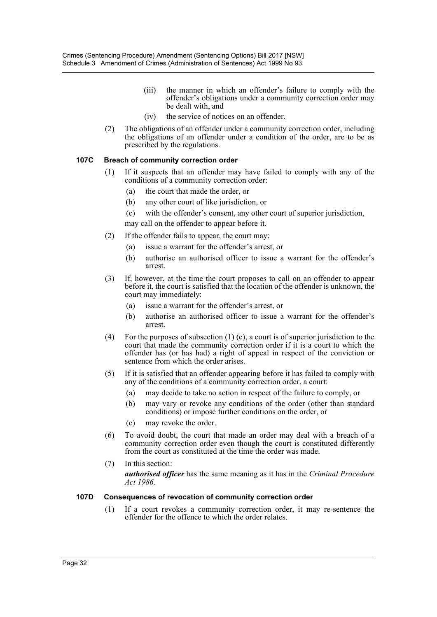- (iii) the manner in which an offender's failure to comply with the offender's obligations under a community correction order may be dealt with, and
- (iv) the service of notices on an offender.
- (2) The obligations of an offender under a community correction order, including the obligations of an offender under a condition of the order, are to be as prescribed by the regulations.

## **107C Breach of community correction order**

- (1) If it suspects that an offender may have failed to comply with any of the conditions of a community correction order:
	- (a) the court that made the order, or
	- (b) any other court of like jurisdiction, or
	- (c) with the offender's consent, any other court of superior jurisdiction,

may call on the offender to appear before it.

- (2) If the offender fails to appear, the court may:
	- (a) issue a warrant for the offender's arrest, or
	- (b) authorise an authorised officer to issue a warrant for the offender's arrest.
- (3) If, however, at the time the court proposes to call on an offender to appear before it, the court is satisfied that the location of the offender is unknown, the court may immediately:
	- (a) issue a warrant for the offender's arrest, or
	- (b) authorise an authorised officer to issue a warrant for the offender's arrest.
- (4) For the purposes of subsection  $(1)$  (c), a court is of superior jurisdiction to the court that made the community correction order if it is a court to which the offender has (or has had) a right of appeal in respect of the conviction or sentence from which the order arises.
- (5) If it is satisfied that an offender appearing before it has failed to comply with any of the conditions of a community correction order, a court:
	- (a) may decide to take no action in respect of the failure to comply, or
	- (b) may vary or revoke any conditions of the order (other than standard conditions) or impose further conditions on the order, or
	- (c) may revoke the order.
- (6) To avoid doubt, the court that made an order may deal with a breach of a community correction order even though the court is constituted differently from the court as constituted at the time the order was made.
- (7) In this section:

*authorised officer* has the same meaning as it has in the *Criminal Procedure Act 1986*.

#### **107D Consequences of revocation of community correction order**

(1) If a court revokes a community correction order, it may re-sentence the offender for the offence to which the order relates.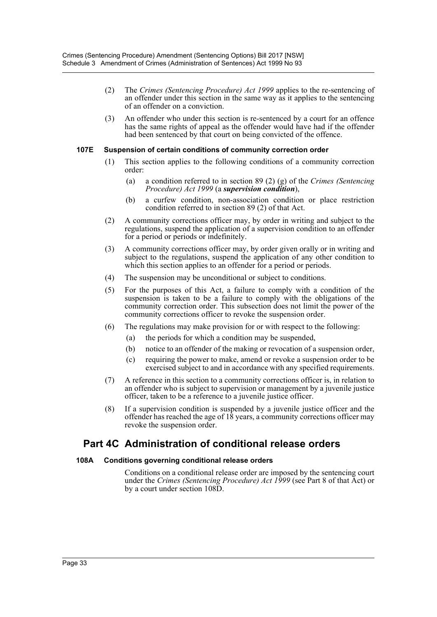- (2) The *Crimes (Sentencing Procedure) Act 1999* applies to the re-sentencing of an offender under this section in the same way as it applies to the sentencing of an offender on a conviction.
- (3) An offender who under this section is re-sentenced by a court for an offence has the same rights of appeal as the offender would have had if the offender had been sentenced by that court on being convicted of the offence.

#### **107E Suspension of certain conditions of community correction order**

- (1) This section applies to the following conditions of a community correction order:
	- (a) a condition referred to in section 89 (2) (g) of the *Crimes (Sentencing Procedure) Act 1999* (a *supervision condition*),
	- (b) a curfew condition, non-association condition or place restriction condition referred to in section 89 (2) of that Act.
- (2) A community corrections officer may, by order in writing and subject to the regulations, suspend the application of a supervision condition to an offender for a period or periods or indefinitely.
- (3) A community corrections officer may, by order given orally or in writing and subject to the regulations, suspend the application of any other condition to which this section applies to an offender for a period or periods.
- (4) The suspension may be unconditional or subject to conditions.
- (5) For the purposes of this Act, a failure to comply with a condition of the suspension is taken to be a failure to comply with the obligations of the community correction order. This subsection does not limit the power of the community corrections officer to revoke the suspension order.
- (6) The regulations may make provision for or with respect to the following:
	- (a) the periods for which a condition may be suspended,
	- (b) notice to an offender of the making or revocation of a suspension order,
	- (c) requiring the power to make, amend or revoke a suspension order to be exercised subject to and in accordance with any specified requirements.
- (7) A reference in this section to a community corrections officer is, in relation to an offender who is subject to supervision or management by a juvenile justice officer, taken to be a reference to a juvenile justice officer.
- (8) If a supervision condition is suspended by a juvenile justice officer and the offender has reached the age of 18 years, a community corrections officer may revoke the suspension order.

## **Part 4C Administration of conditional release orders**

#### **108A Conditions governing conditional release orders**

Conditions on a conditional release order are imposed by the sentencing court under the *Crimes (Sentencing Procedure) Act 1999* (see Part 8 of that Act) or by a court under section 108D.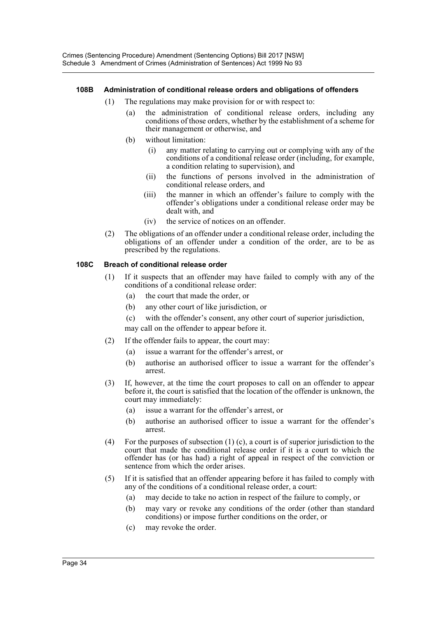## **108B Administration of conditional release orders and obligations of offenders**

- (1) The regulations may make provision for or with respect to:
	- (a) the administration of conditional release orders, including any conditions of those orders, whether by the establishment of a scheme for their management or otherwise, and
	- (b) without limitation:
		- (i) any matter relating to carrying out or complying with any of the conditions of a conditional release order (including, for example, a condition relating to supervision), and
		- (ii) the functions of persons involved in the administration of conditional release orders, and
		- (iii) the manner in which an offender's failure to comply with the offender's obligations under a conditional release order may be dealt with, and
		- (iv) the service of notices on an offender.
- (2) The obligations of an offender under a conditional release order, including the obligations of an offender under a condition of the order, are to be as prescribed by the regulations.

## **108C Breach of conditional release order**

- (1) If it suspects that an offender may have failed to comply with any of the conditions of a conditional release order:
	- (a) the court that made the order, or
	- (b) any other court of like jurisdiction, or
	- (c) with the offender's consent, any other court of superior jurisdiction,

may call on the offender to appear before it.

- (2) If the offender fails to appear, the court may:
	- (a) issue a warrant for the offender's arrest, or
	- (b) authorise an authorised officer to issue a warrant for the offender's arrest.
- (3) If, however, at the time the court proposes to call on an offender to appear before it, the court is satisfied that the location of the offender is unknown, the court may immediately:
	- (a) issue a warrant for the offender's arrest, or
	- (b) authorise an authorised officer to issue a warrant for the offender's arrest.
- (4) For the purposes of subsection  $(1)$  (c), a court is of superior jurisdiction to the court that made the conditional release order if it is a court to which the offender has (or has had) a right of appeal in respect of the conviction or sentence from which the order arises.
- (5) If it is satisfied that an offender appearing before it has failed to comply with any of the conditions of a conditional release order, a court:
	- (a) may decide to take no action in respect of the failure to comply, or
	- (b) may vary or revoke any conditions of the order (other than standard conditions) or impose further conditions on the order, or
	- (c) may revoke the order.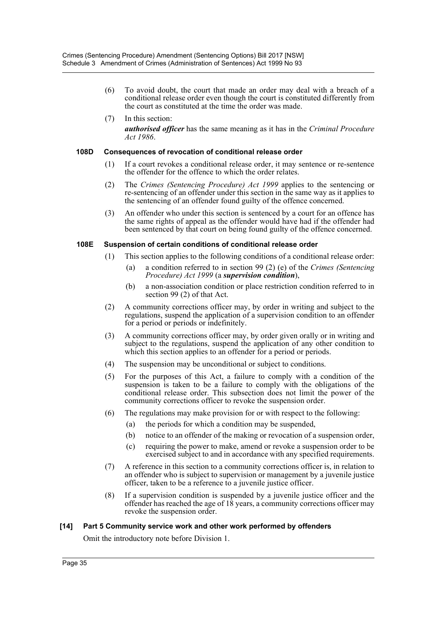- (6) To avoid doubt, the court that made an order may deal with a breach of a conditional release order even though the court is constituted differently from the court as constituted at the time the order was made.
- (7) In this section: *authorised officer* has the same meaning as it has in the *Criminal Procedure Act 1986*.

#### **108D Consequences of revocation of conditional release order**

- (1) If a court revokes a conditional release order, it may sentence or re-sentence the offender for the offence to which the order relates.
- (2) The *Crimes (Sentencing Procedure) Act 1999* applies to the sentencing or re-sentencing of an offender under this section in the same way as it applies to the sentencing of an offender found guilty of the offence concerned.
- (3) An offender who under this section is sentenced by a court for an offence has the same rights of appeal as the offender would have had if the offender had been sentenced by that court on being found guilty of the offence concerned.

#### **108E Suspension of certain conditions of conditional release order**

- (1) This section applies to the following conditions of a conditional release order:
	- (a) a condition referred to in section 99 (2) (e) of the *Crimes (Sentencing Procedure) Act 1999* (a *supervision condition*),
	- (b) a non-association condition or place restriction condition referred to in section 99 (2) of that Act.
- (2) A community corrections officer may, by order in writing and subject to the regulations, suspend the application of a supervision condition to an offender for a period or periods or indefinitely.
- (3) A community corrections officer may, by order given orally or in writing and subject to the regulations, suspend the application of any other condition to which this section applies to an offender for a period or periods.
- (4) The suspension may be unconditional or subject to conditions.
- (5) For the purposes of this Act, a failure to comply with a condition of the suspension is taken to be a failure to comply with the obligations of the conditional release order. This subsection does not limit the power of the community corrections officer to revoke the suspension order.
- (6) The regulations may make provision for or with respect to the following:
	- (a) the periods for which a condition may be suspended,
	- (b) notice to an offender of the making or revocation of a suspension order,
	- (c) requiring the power to make, amend or revoke a suspension order to be exercised subject to and in accordance with any specified requirements.
- (7) A reference in this section to a community corrections officer is, in relation to an offender who is subject to supervision or management by a juvenile justice officer, taken to be a reference to a juvenile justice officer.
- (8) If a supervision condition is suspended by a juvenile justice officer and the offender has reached the age of 18 years, a community corrections officer may revoke the suspension order.

#### **[14] Part 5 Community service work and other work performed by offenders**

Omit the introductory note before Division 1.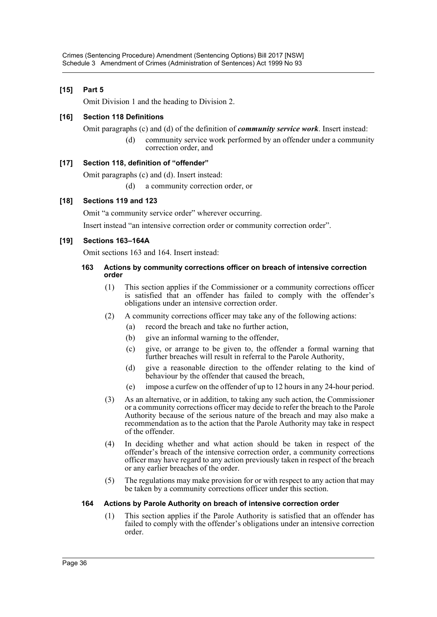## **[15] Part 5**

Omit Division 1 and the heading to Division 2.

## **[16] Section 118 Definitions**

Omit paragraphs (c) and (d) of the definition of *community service work*. Insert instead:

(d) community service work performed by an offender under a community correction order, and

## **[17] Section 118, definition of "offender"**

Omit paragraphs (c) and (d). Insert instead:

(d) a community correction order, or

## **[18] Sections 119 and 123**

Omit "a community service order" wherever occurring.

Insert instead "an intensive correction order or community correction order".

## **[19] Sections 163–164A**

Omit sections 163 and 164. Insert instead:

#### **163 Actions by community corrections officer on breach of intensive correction order**

- (1) This section applies if the Commissioner or a community corrections officer is satisfied that an offender has failed to comply with the offender's obligations under an intensive correction order.
- (2) A community corrections officer may take any of the following actions:
	- (a) record the breach and take no further action,
	- (b) give an informal warning to the offender,
	- (c) give, or arrange to be given to, the offender a formal warning that further breaches will result in referral to the Parole Authority,
	- (d) give a reasonable direction to the offender relating to the kind of behaviour by the offender that caused the breach,
	- (e) impose a curfew on the offender of up to 12 hours in any 24-hour period.
- (3) As an alternative, or in addition, to taking any such action, the Commissioner or a community corrections officer may decide to refer the breach to the Parole Authority because of the serious nature of the breach and may also make a recommendation as to the action that the Parole Authority may take in respect of the offender.
- (4) In deciding whether and what action should be taken in respect of the offender's breach of the intensive correction order, a community corrections officer may have regard to any action previously taken in respect of the breach or any earlier breaches of the order.
- (5) The regulations may make provision for or with respect to any action that may be taken by a community corrections officer under this section.

#### **164 Actions by Parole Authority on breach of intensive correction order**

(1) This section applies if the Parole Authority is satisfied that an offender has failed to comply with the offender's obligations under an intensive correction order.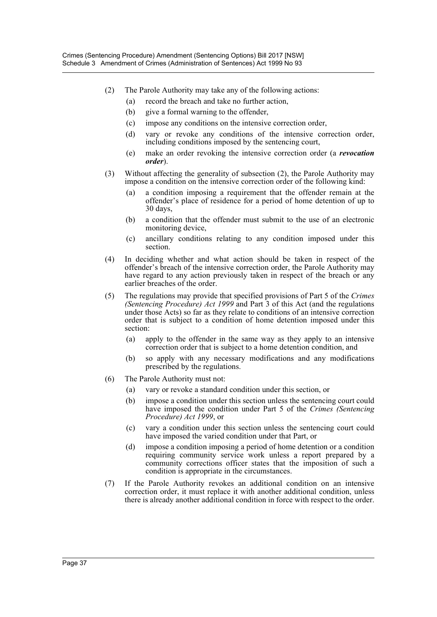- (2) The Parole Authority may take any of the following actions:
	- (a) record the breach and take no further action,
	- (b) give a formal warning to the offender,
	- (c) impose any conditions on the intensive correction order,
	- (d) vary or revoke any conditions of the intensive correction order, including conditions imposed by the sentencing court,
	- (e) make an order revoking the intensive correction order (a *revocation order*).
- (3) Without affecting the generality of subsection (2), the Parole Authority may impose a condition on the intensive correction order of the following kind:
	- (a) a condition imposing a requirement that the offender remain at the offender's place of residence for a period of home detention of up to 30 days,
	- (b) a condition that the offender must submit to the use of an electronic monitoring device,
	- (c) ancillary conditions relating to any condition imposed under this section.
- (4) In deciding whether and what action should be taken in respect of the offender's breach of the intensive correction order, the Parole Authority may have regard to any action previously taken in respect of the breach or any earlier breaches of the order.
- (5) The regulations may provide that specified provisions of Part 5 of the *Crimes (Sentencing Procedure) Act 1999* and Part 3 of this Act (and the regulations under those Acts) so far as they relate to conditions of an intensive correction order that is subject to a condition of home detention imposed under this section:
	- (a) apply to the offender in the same way as they apply to an intensive correction order that is subject to a home detention condition, and
	- (b) so apply with any necessary modifications and any modifications prescribed by the regulations.
- (6) The Parole Authority must not:
	- (a) vary or revoke a standard condition under this section, or
	- (b) impose a condition under this section unless the sentencing court could have imposed the condition under Part 5 of the *Crimes (Sentencing Procedure) Act 1999*, or
	- (c) vary a condition under this section unless the sentencing court could have imposed the varied condition under that Part, or
	- (d) impose a condition imposing a period of home detention or a condition requiring community service work unless a report prepared by a community corrections officer states that the imposition of such a condition is appropriate in the circumstances.
- (7) If the Parole Authority revokes an additional condition on an intensive correction order, it must replace it with another additional condition, unless there is already another additional condition in force with respect to the order.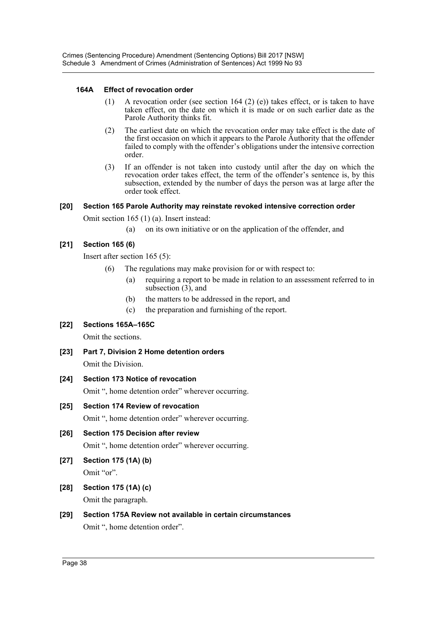## **164A Effect of revocation order**

- (1) A revocation order (see section 164 (2) (e)) takes effect, or is taken to have taken effect, on the date on which it is made or on such earlier date as the Parole Authority thinks fit.
- (2) The earliest date on which the revocation order may take effect is the date of the first occasion on which it appears to the Parole Authority that the offender failed to comply with the offender's obligations under the intensive correction order.
- (3) If an offender is not taken into custody until after the day on which the revocation order takes effect, the term of the offender's sentence is, by this subsection, extended by the number of days the person was at large after the order took effect.

## **[20] Section 165 Parole Authority may reinstate revoked intensive correction order**

Omit section 165 (1) (a). Insert instead:

(a) on its own initiative or on the application of the offender, and

## **[21] Section 165 (6)**

Insert after section 165 (5):

- (6) The regulations may make provision for or with respect to:
	- (a) requiring a report to be made in relation to an assessment referred to in subsection  $(3)$ , and
	- (b) the matters to be addressed in the report, and
	- (c) the preparation and furnishing of the report.

#### **[22] Sections 165A–165C**

Omit the sections.

- **[23] Part 7, Division 2 Home detention orders** Omit the Division.
- **[24] Section 173 Notice of revocation** Omit ", home detention order" wherever occurring.
- **[25] Section 174 Review of revocation** Omit ", home detention order" wherever occurring.
- **[26] Section 175 Decision after review**

Omit ", home detention order" wherever occurring.

- **[27] Section 175 (1A) (b)** Omit "or".
- **[28] Section 175 (1A) (c)** Omit the paragraph.

**[29] Section 175A Review not available in certain circumstances** Omit ", home detention order".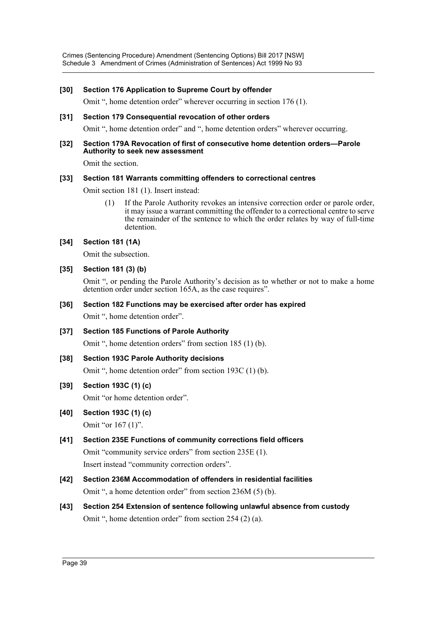Crimes (Sentencing Procedure) Amendment (Sentencing Options) Bill 2017 [NSW] Schedule 3 Amendment of Crimes (Administration of Sentences) Act 1999 No 93

#### **[30] Section 176 Application to Supreme Court by offender**

Omit ", home detention order" wherever occurring in section 176 (1).

#### **[31] Section 179 Consequential revocation of other orders**

Omit ", home detention order" and ", home detention orders" wherever occurring.

#### **[32] Section 179A Revocation of first of consecutive home detention orders—Parole Authority to seek new assessment**

Omit the section.

#### **[33] Section 181 Warrants committing offenders to correctional centres**

Omit section 181 (1). Insert instead:

(1) If the Parole Authority revokes an intensive correction order or parole order, it may issue a warrant committing the offender to a correctional centre to serve the remainder of the sentence to which the order relates by way of full-time detention.

#### **[34] Section 181 (1A)**

Omit the subsection.

#### **[35] Section 181 (3) (b)**

Omit ", or pending the Parole Authority's decision as to whether or not to make a home detention order under section 165A, as the case requires".

#### **[36] Section 182 Functions may be exercised after order has expired**

Omit ", home detention order".

**[37] Section 185 Functions of Parole Authority**

Omit ", home detention orders" from section 185 (1) (b).

#### **[38] Section 193C Parole Authority decisions**

Omit ", home detention order" from section 193C (1) (b).

#### **[39] Section 193C (1) (c)**

Omit "or home detention order".

- **[40] Section 193C (1) (c)** Omit "or 167 (1)".
- **[41] Section 235E Functions of community corrections field officers** Omit "community service orders" from section 235E (1). Insert instead "community correction orders".
- **[42] Section 236M Accommodation of offenders in residential facilities** Omit ", a home detention order" from section 236M (5) (b).
- **[43] Section 254 Extension of sentence following unlawful absence from custody** Omit ", home detention order" from section 254 (2) (a).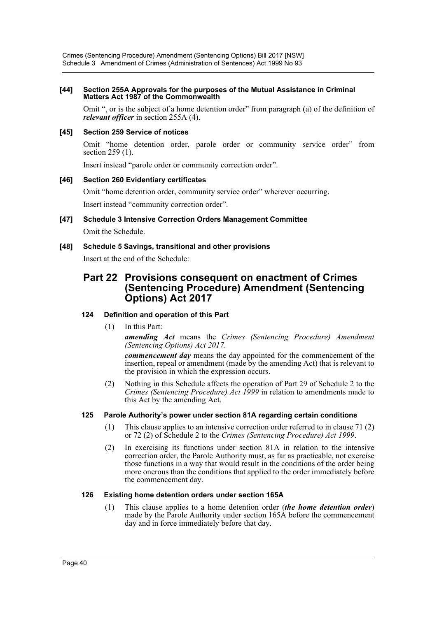#### **[44] Section 255A Approvals for the purposes of the Mutual Assistance in Criminal Matters Act 1987 of the Commonwealth**

Omit ", or is the subject of a home detention order" from paragraph (a) of the definition of *relevant officer* in section 255A (4).

#### **[45] Section 259 Service of notices**

Omit "home detention order, parole order or community service order" from section 259 (1).

Insert instead "parole order or community correction order".

## **[46] Section 260 Evidentiary certificates**

Omit "home detention order, community service order" wherever occurring. Insert instead "community correction order".

**[47] Schedule 3 Intensive Correction Orders Management Committee** Omit the Schedule.

## **[48] Schedule 5 Savings, transitional and other provisions**

Insert at the end of the Schedule:

## **Part 22 Provisions consequent on enactment of Crimes (Sentencing Procedure) Amendment (Sentencing Options) Act 2017**

## **124 Definition and operation of this Part**

(1) In this Part:

*amending Act* means the *Crimes (Sentencing Procedure) Amendment (Sentencing Options) Act 2017*.

*commencement day* means the day appointed for the commencement of the insertion, repeal or amendment (made by the amending Act) that is relevant to the provision in which the expression occurs.

(2) Nothing in this Schedule affects the operation of Part 29 of Schedule 2 to the *Crimes (Sentencing Procedure) Act 1999* in relation to amendments made to this Act by the amending Act.

#### **125 Parole Authority's power under section 81A regarding certain conditions**

- (1) This clause applies to an intensive correction order referred to in clause 71 (2) or 72 (2) of Schedule 2 to the *Crimes (Sentencing Procedure) Act 1999*.
- (2) In exercising its functions under section 81A in relation to the intensive correction order, the Parole Authority must, as far as practicable, not exercise those functions in a way that would result in the conditions of the order being more onerous than the conditions that applied to the order immediately before the commencement day.

#### **126 Existing home detention orders under section 165A**

(1) This clause applies to a home detention order (*the home detention order*) made by the Parole Authority under section 165A before the commencement day and in force immediately before that day.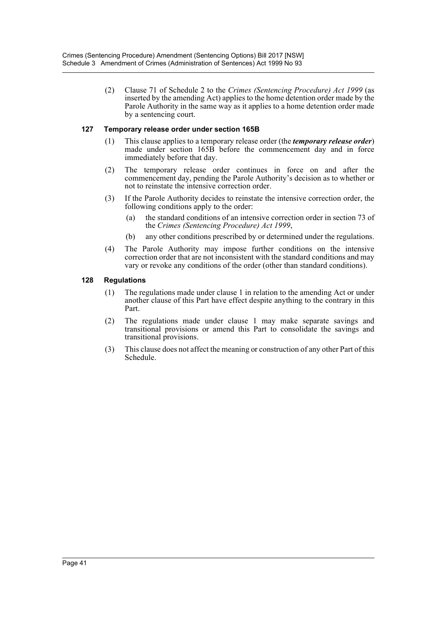(2) Clause 71 of Schedule 2 to the *Crimes (Sentencing Procedure) Act 1999* (as inserted by the amending Act) applies to the home detention order made by the Parole Authority in the same way as it applies to a home detention order made by a sentencing court.

#### **127 Temporary release order under section 165B**

- (1) This clause applies to a temporary release order (the *temporary release order*) made under section 165B before the commencement day and in force immediately before that day.
- (2) The temporary release order continues in force on and after the commencement day, pending the Parole Authority's decision as to whether or not to reinstate the intensive correction order.
- (3) If the Parole Authority decides to reinstate the intensive correction order, the following conditions apply to the order:
	- (a) the standard conditions of an intensive correction order in section 73 of the *Crimes (Sentencing Procedure) Act 1999*,
	- (b) any other conditions prescribed by or determined under the regulations.
- (4) The Parole Authority may impose further conditions on the intensive correction order that are not inconsistent with the standard conditions and may vary or revoke any conditions of the order (other than standard conditions).

## **128 Regulations**

- (1) The regulations made under clause 1 in relation to the amending Act or under another clause of this Part have effect despite anything to the contrary in this Part.
- (2) The regulations made under clause 1 may make separate savings and transitional provisions or amend this Part to consolidate the savings and transitional provisions.
- (3) This clause does not affect the meaning or construction of any other Part of this Schedule.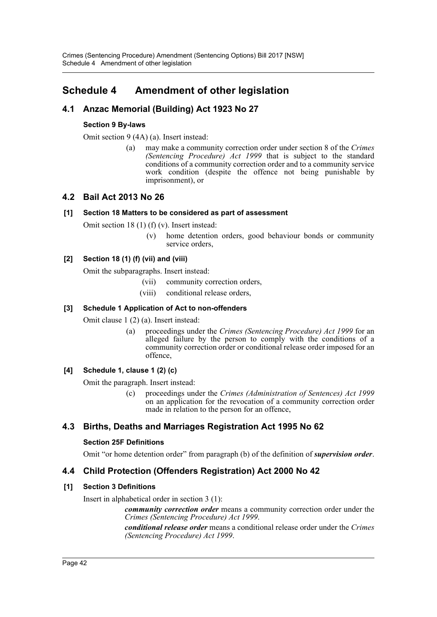## <span id="page-42-0"></span>**Schedule 4 Amendment of other legislation**

## **4.1 Anzac Memorial (Building) Act 1923 No 27**

## **Section 9 By-laws**

Omit section 9 (4A) (a). Insert instead:

(a) may make a community correction order under section 8 of the *Crimes (Sentencing Procedure) Act 1999* that is subject to the standard conditions of a community correction order and to a community service work condition (despite the offence not being punishable by imprisonment), or

## **4.2 Bail Act 2013 No 26**

## **[1] Section 18 Matters to be considered as part of assessment**

Omit section 18 (1) (f) (v). Insert instead:

(v) home detention orders, good behaviour bonds or community service orders,

## **[2] Section 18 (1) (f) (vii) and (viii)**

Omit the subparagraphs. Insert instead:

- (vii) community correction orders,
- (viii) conditional release orders,

## **[3] Schedule 1 Application of Act to non-offenders**

Omit clause 1 (2) (a). Insert instead:

(a) proceedings under the *Crimes (Sentencing Procedure) Act 1999* for an alleged failure by the person to comply with the conditions of a community correction order or conditional release order imposed for an offence,

## **[4] Schedule 1, clause 1 (2) (c)**

Omit the paragraph. Insert instead:

(c) proceedings under the *Crimes (Administration of Sentences) Act 1999* on an application for the revocation of a community correction order made in relation to the person for an offence,

## **4.3 Births, Deaths and Marriages Registration Act 1995 No 62**

## **Section 25F Definitions**

Omit "or home detention order" from paragraph (b) of the definition of *supervision order*.

## **4.4 Child Protection (Offenders Registration) Act 2000 No 42**

## **[1] Section 3 Definitions**

Insert in alphabetical order in section 3 (1):

*community correction order* means a community correction order under the *Crimes (Sentencing Procedure) Act 1999*.

*conditional release order* means a conditional release order under the *Crimes (Sentencing Procedure) Act 1999*.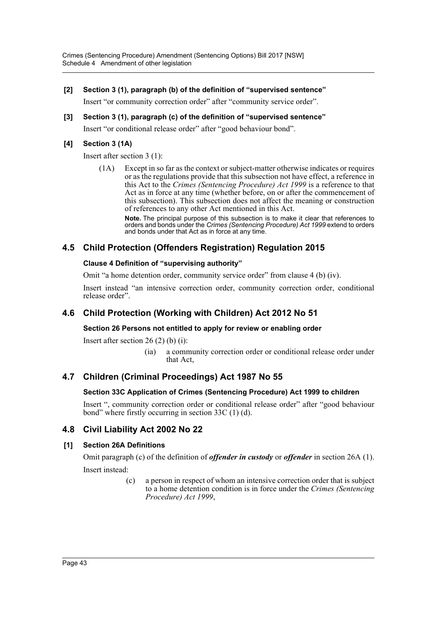## **[2] Section 3 (1), paragraph (b) of the definition of "supervised sentence"**

Insert "or community correction order" after "community service order".

## **[3] Section 3 (1), paragraph (c) of the definition of "supervised sentence"**

Insert "or conditional release order" after "good behaviour bond".

## **[4] Section 3 (1A)**

Insert after section 3 (1):

(1A) Except in so far as the context or subject-matter otherwise indicates or requires or as the regulations provide that this subsection not have effect, a reference in this Act to the *Crimes (Sentencing Procedure) Act 1999* is a reference to that Act as in force at any time (whether before, on or after the commencement of this subsection). This subsection does not affect the meaning or construction of references to any other Act mentioned in this Act.

**Note.** The principal purpose of this subsection is to make it clear that references to orders and bonds under the *Crimes (Sentencing Procedure) Act 1999* extend to orders and bonds under that Act as in force at any time.

## **4.5 Child Protection (Offenders Registration) Regulation 2015**

## **Clause 4 Definition of "supervising authority"**

Omit "a home detention order, community service order" from clause 4 (b) (iv).

Insert instead "an intensive correction order, community correction order, conditional release order".

## **4.6 Child Protection (Working with Children) Act 2012 No 51**

## **Section 26 Persons not entitled to apply for review or enabling order**

Insert after section  $26(2)$  (b) (i):

(ia) a community correction order or conditional release order under that Act,

## **4.7 Children (Criminal Proceedings) Act 1987 No 55**

## **Section 33C Application of Crimes (Sentencing Procedure) Act 1999 to children**

Insert ", community correction order or conditional release order" after "good behaviour bond" where firstly occurring in section 33C (1) (d).

## **4.8 Civil Liability Act 2002 No 22**

## **[1] Section 26A Definitions**

Omit paragraph (c) of the definition of *offender in custody* or *offender* in section 26A (1). Insert instead:

> (c) a person in respect of whom an intensive correction order that is subject to a home detention condition is in force under the *Crimes (Sentencing Procedure) Act 1999*,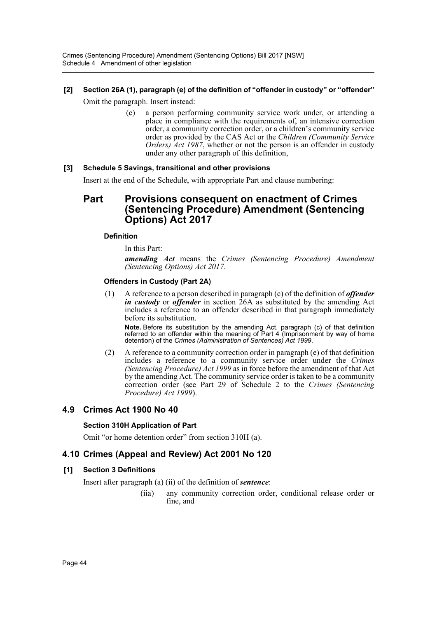# **[2] Section 26A (1), paragraph (e) of the definition of "offender in custody" or "offender"**

Omit the paragraph. Insert instead:

(e) a person performing community service work under, or attending a place in compliance with the requirements of, an intensive correction order, a community correction order, or a children's community service order as provided by the CAS Act or the *Children (Community Service Orders) Act 1987*, whether or not the person is an offender in custody under any other paragraph of this definition,

## **[3] Schedule 5 Savings, transitional and other provisions**

Insert at the end of the Schedule, with appropriate Part and clause numbering:

## **Part Provisions consequent on enactment of Crimes (Sentencing Procedure) Amendment (Sentencing Options) Act 2017**

## **Definition**

In this Part:

*amending Act* means the *Crimes (Sentencing Procedure) Amendment (Sentencing Options) Act 2017*.

## **Offenders in Custody (Part 2A)**

(1) A reference to a person described in paragraph (c) of the definition of *offender in custody* or *offender* in section 26A as substituted by the amending Act includes a reference to an offender described in that paragraph immediately before its substitution.

**Note.** Before its substitution by the amending Act, paragraph (c) of that definition referred to an offender within the meaning of Part 4 (Imprisonment by way of home detention) of the *Crimes (Administration of Sentences) Act 1999*.

(2) A reference to a community correction order in paragraph (e) of that definition includes a reference to a community service order under the *Crimes (Sentencing Procedure) Act 1999* as in force before the amendment of that Act by the amending Act. The community service order is taken to be a community correction order (see Part 29 of Schedule 2 to the *Crimes (Sentencing Procedure) Act 1999*).

## **4.9 Crimes Act 1900 No 40**

## **Section 310H Application of Part**

Omit "or home detention order" from section 310H (a).

## **4.10 Crimes (Appeal and Review) Act 2001 No 120**

#### **[1] Section 3 Definitions**

Insert after paragraph (a) (ii) of the definition of *sentence*:

(iia) any community correction order, conditional release order or fine, and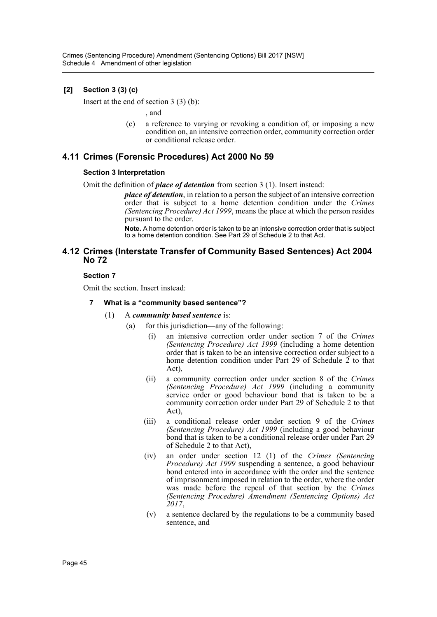## **[2] Section 3 (3) (c)**

Insert at the end of section 3 (3) (b):

, and

(c) a reference to varying or revoking a condition of, or imposing a new condition on, an intensive correction order, community correction order or conditional release order.

## **4.11 Crimes (Forensic Procedures) Act 2000 No 59**

#### **Section 3 Interpretation**

Omit the definition of *place of detention* from section 3 (1). Insert instead:

*place of detention*, in relation to a person the subject of an intensive correction order that is subject to a home detention condition under the *Crimes (Sentencing Procedure) Act 1999*, means the place at which the person resides pursuant to the order.

**Note.** A home detention order is taken to be an intensive correction order that is subject to a home detention condition. See Part 29 of Schedule 2 to that Act.

## **4.12 Crimes (Interstate Transfer of Community Based Sentences) Act 2004 No 72**

#### **Section 7**

Omit the section. Insert instead:

#### **7 What is a "community based sentence"?**

- (1) A *community based sentence* is:
	- (a) for this jurisdiction—any of the following:
		- (i) an intensive correction order under section 7 of the *Crimes (Sentencing Procedure) Act 1999* (including a home detention order that is taken to be an intensive correction order subject to a home detention condition under Part 29 of Schedule  $\tilde{2}$  to that Act),
		- (ii) a community correction order under section 8 of the *Crimes (Sentencing Procedure) Act 1999* (including a community service order or good behaviour bond that is taken to be a community correction order under Part 29 of Schedule 2 to that Act),
		- (iii) a conditional release order under section 9 of the *Crimes (Sentencing Procedure) Act 1999* (including a good behaviour bond that is taken to be a conditional release order under Part 29 of Schedule 2 to that Act),
		- (iv) an order under section 12 (1) of the *Crimes (Sentencing Procedure) Act 1999* suspending a sentence, a good behaviour bond entered into in accordance with the order and the sentence of imprisonment imposed in relation to the order, where the order was made before the repeal of that section by the *Crimes (Sentencing Procedure) Amendment (Sentencing Options) Act 2017*,
		- (v) a sentence declared by the regulations to be a community based sentence, and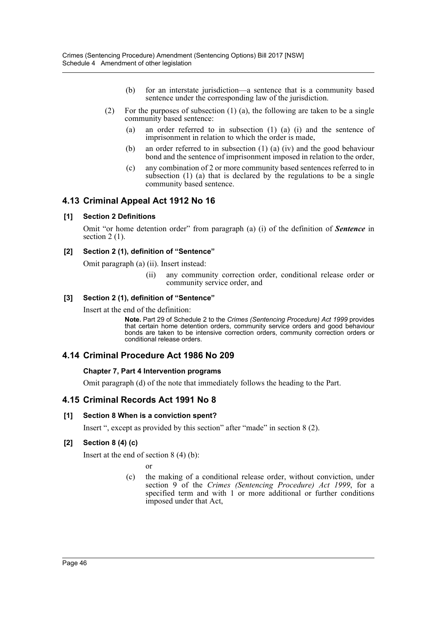- (b) for an interstate jurisdiction—a sentence that is a community based sentence under the corresponding law of the jurisdiction.
- (2) For the purposes of subsection (1) (a), the following are taken to be a single community based sentence:
	- (a) an order referred to in subsection (1) (a) (i) and the sentence of imprisonment in relation to which the order is made,
	- (b) an order referred to in subsection (1) (a) (iv) and the good behaviour bond and the sentence of imprisonment imposed in relation to the order,
	- (c) any combination of 2 or more community based sentences referred to in subsection (1) (a) that is declared by the regulations to be a single community based sentence.

## **4.13 Criminal Appeal Act 1912 No 16**

## **[1] Section 2 Definitions**

Omit "or home detention order" from paragraph (a) (i) of the definition of *Sentence* in section 2 (1).

#### **[2] Section 2 (1), definition of "Sentence"**

Omit paragraph (a) (ii). Insert instead:

(ii) any community correction order, conditional release order or community service order, and

## **[3] Section 2 (1), definition of "Sentence"**

Insert at the end of the definition:

**Note.** Part 29 of Schedule 2 to the *Crimes (Sentencing Procedure) Act 1999* provides that certain home detention orders, community service orders and good behaviour bonds are taken to be intensive correction orders, community correction orders or conditional release orders.

## **4.14 Criminal Procedure Act 1986 No 209**

#### **Chapter 7, Part 4 Intervention programs**

Omit paragraph (d) of the note that immediately follows the heading to the Part.

## **4.15 Criminal Records Act 1991 No 8**

#### **[1] Section 8 When is a conviction spent?**

Insert ", except as provided by this section" after "made" in section 8 (2).

#### **[2] Section 8 (4) (c)**

Insert at the end of section 8 (4) (b):

or

(c) the making of a conditional release order, without conviction, under section 9 of the *Crimes (Sentencing Procedure) Act 1999*, for a specified term and with 1 or more additional or further conditions imposed under that Act,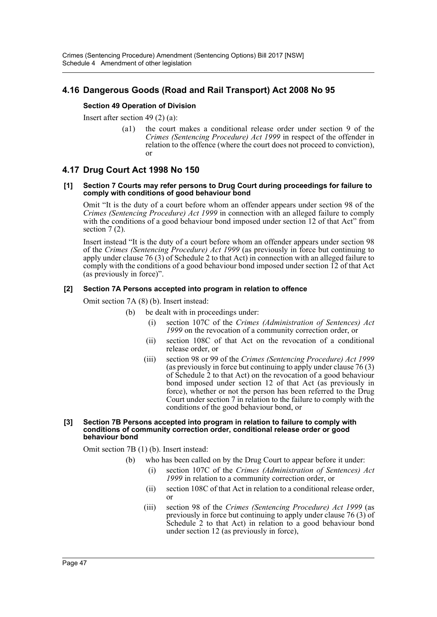## **4.16 Dangerous Goods (Road and Rail Transport) Act 2008 No 95**

#### **Section 49 Operation of Division**

Insert after section 49 (2) (a):

(a1) the court makes a conditional release order under section 9 of the *Crimes (Sentencing Procedure) Act 1999* in respect of the offender in relation to the offence (where the court does not proceed to conviction), or

## **4.17 Drug Court Act 1998 No 150**

#### **[1] Section 7 Courts may refer persons to Drug Court during proceedings for failure to comply with conditions of good behaviour bond**

Omit "It is the duty of a court before whom an offender appears under section 98 of the *Crimes (Sentencing Procedure) Act 1999* in connection with an alleged failure to comply with the conditions of a good behaviour bond imposed under section 12 of that Act" from section  $7(2)$ .

Insert instead "It is the duty of a court before whom an offender appears under section 98 of the *Crimes (Sentencing Procedure) Act 1999* (as previously in force but continuing to apply under clause 76 (3) of Schedule 2 to that Act) in connection with an alleged failure to comply with the conditions of a good behaviour bond imposed under section 12 of that Act (as previously in force)".

#### **[2] Section 7A Persons accepted into program in relation to offence**

Omit section 7A (8) (b). Insert instead:

- (b) be dealt with in proceedings under:
	- (i) section 107C of the *Crimes (Administration of Sentences) Act 1999* on the revocation of a community correction order, or
	- (ii) section 108C of that Act on the revocation of a conditional release order, or
	- (iii) section 98 or 99 of the *Crimes (Sentencing Procedure) Act 1999* (as previously in force but continuing to apply under clause 76 (3) of Schedule 2 to that Act) on the revocation of a good behaviour bond imposed under section 12 of that Act (as previously in force), whether or not the person has been referred to the Drug Court under section 7 in relation to the failure to comply with the conditions of the good behaviour bond, or

#### **[3] Section 7B Persons accepted into program in relation to failure to comply with conditions of community correction order, conditional release order or good behaviour bond**

Omit section 7B (1) (b). Insert instead:

- (b) who has been called on by the Drug Court to appear before it under:
	- (i) section 107C of the *Crimes (Administration of Sentences) Act 1999* in relation to a community correction order, or
	- (ii) section 108C of that Act in relation to a conditional release order, or
	- (iii) section 98 of the *Crimes (Sentencing Procedure) Act 1999* (as previously in force but continuing to apply under clause 76 (3) of Schedule 2 to that Act) in relation to a good behaviour bond under section 12 (as previously in force),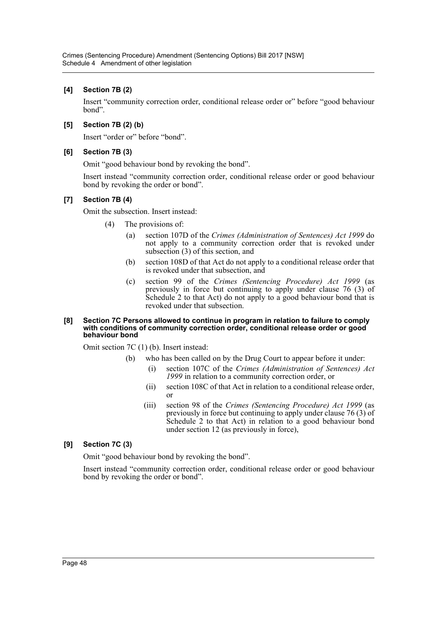## **[4] Section 7B (2)**

Insert "community correction order, conditional release order or" before "good behaviour bond".

## **[5] Section 7B (2) (b)**

Insert "order or" before "bond".

## **[6] Section 7B (3)**

Omit "good behaviour bond by revoking the bond".

Insert instead "community correction order, conditional release order or good behaviour bond by revoking the order or bond".

## **[7] Section 7B (4)**

Omit the subsection. Insert instead:

- (4) The provisions of:
	- (a) section 107D of the *Crimes (Administration of Sentences) Act 1999* do not apply to a community correction order that is revoked under subsection (3) of this section, and
	- (b) section 108D of that Act do not apply to a conditional release order that is revoked under that subsection, and
	- (c) section 99 of the *Crimes (Sentencing Procedure) Act 1999* (as previously in force but continuing to apply under clause 76 (3) of Schedule 2 to that Act) do not apply to a good behaviour bond that is revoked under that subsection.

#### **[8] Section 7C Persons allowed to continue in program in relation to failure to comply with conditions of community correction order, conditional release order or good behaviour bond**

Omit section 7C (1) (b). Insert instead:

- (b) who has been called on by the Drug Court to appear before it under:
	- (i) section 107C of the *Crimes (Administration of Sentences) Act 1999* in relation to a community correction order, or
	- (ii) section 108C of that Act in relation to a conditional release order, or
	- (iii) section 98 of the *Crimes (Sentencing Procedure) Act 1999* (as previously in force but continuing to apply under clause 76 (3) of Schedule 2 to that Act) in relation to a good behaviour bond under section 12 (as previously in force),

## **[9] Section 7C (3)**

Omit "good behaviour bond by revoking the bond".

Insert instead "community correction order, conditional release order or good behaviour bond by revoking the order or bond".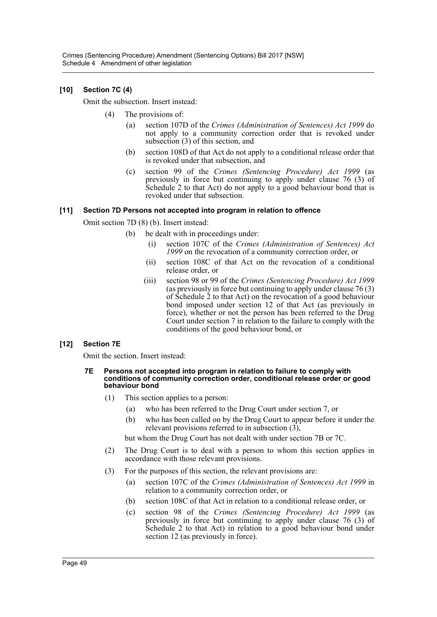## **[10] Section 7C (4)**

Omit the subsection. Insert instead:

- (4) The provisions of:
	- (a) section 107D of the *Crimes (Administration of Sentences) Act 1999* do not apply to a community correction order that is revoked under subsection (3) of this section, and
	- (b) section 108D of that Act do not apply to a conditional release order that is revoked under that subsection, and
	- (c) section 99 of the *Crimes (Sentencing Procedure) Act 1999* (as previously in force but continuing to apply under clause 76 (3) of Schedule 2 to that Act) do not apply to a good behaviour bond that is revoked under that subsection.

## **[11] Section 7D Persons not accepted into program in relation to offence**

Omit section 7D (8) (b). Insert instead:

- (b) be dealt with in proceedings under:
	- (i) section 107C of the *Crimes (Administration of Sentences) Act 1999* on the revocation of a community correction order, or
	- (ii) section 108C of that Act on the revocation of a conditional release order, or
	- (iii) section 98 or 99 of the *Crimes (Sentencing Procedure) Act 1999* (as previously in force but continuing to apply under clause 76 (3) of Schedule 2 to that Act) on the revocation of a good behaviour bond imposed under section 12 of that Act (as previously in force), whether or not the person has been referred to the Drug Court under section 7 in relation to the failure to comply with the conditions of the good behaviour bond, or

## **[12] Section 7E**

Omit the section. Insert instead:

#### **7E Persons not accepted into program in relation to failure to comply with conditions of community correction order, conditional release order or good behaviour bond**

- (1) This section applies to a person:
	- (a) who has been referred to the Drug Court under section 7, or
	- (b) who has been called on by the Drug Court to appear before it under the relevant provisions referred to in subsection  $(3)$ ,

but whom the Drug Court has not dealt with under section 7B or 7C.

- (2) The Drug Court is to deal with a person to whom this section applies in accordance with those relevant provisions.
- (3) For the purposes of this section, the relevant provisions are:
	- (a) section 107C of the *Crimes (Administration of Sentences) Act 1999* in relation to a community correction order, or
	- (b) section 108C of that Act in relation to a conditional release order, or
	- (c) section 98 of the *Crimes (Sentencing Procedure) Act 1999* (as previously in force but continuing to apply under clause 76 (3) of Schedule 2 to that Act) in relation to a good behaviour bond under section 12 (as previously in force).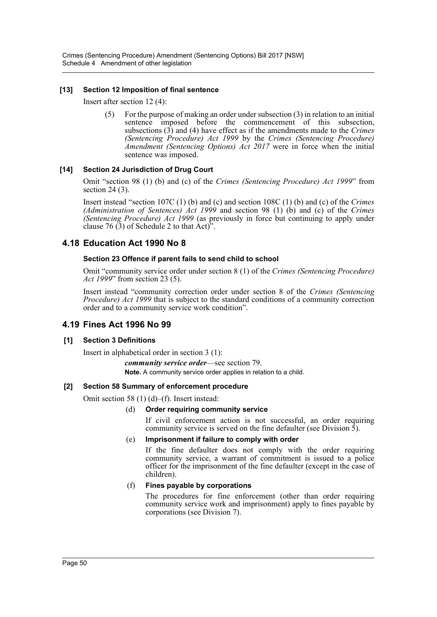## **[13] Section 12 Imposition of final sentence**

Insert after section 12 (4):

(5) For the purpose of making an order under subsection (3) in relation to an initial sentence imposed before the commencement of this subsection, subsections (3) and (4) have effect as if the amendments made to the *Crimes (Sentencing Procedure) Act 1999* by the *Crimes (Sentencing Procedure) Amendment (Sentencing Options) Act 2017* were in force when the initial sentence was imposed.

## **[14] Section 24 Jurisdiction of Drug Court**

Omit "section 98 (1) (b) and (c) of the *Crimes (Sentencing Procedure) Act 1999*" from section 24 (3).

Insert instead "section 107C (1) (b) and (c) and section 108C (1) (b) and (c) of the *Crimes (Administration of Sentences) Act 1999* and section 98 (1) (b) and (c) of the *Crimes (Sentencing Procedure) Act 1999* (as previously in force but continuing to apply under clause 76  $(3)$  of Schedule 2 to that Act)".

## **4.18 Education Act 1990 No 8**

## **Section 23 Offence if parent fails to send child to school**

Omit "community service order under section 8 (1) of the *Crimes (Sentencing Procedure) Act 1999*" from section 23 (5).

Insert instead "community correction order under section 8 of the *Crimes (Sentencing Procedure) Act 1999* that is subject to the standard conditions of a community correction order and to a community service work condition".

## **4.19 Fines Act 1996 No 99**

#### **[1] Section 3 Definitions**

Insert in alphabetical order in section 3 (1):

*community service order*—see section 79. **Note.** A community service order applies in relation to a child.

#### **[2] Section 58 Summary of enforcement procedure**

Omit section 58 (1) (d)–(f). Insert instead:

## (d) **Order requiring community service**

If civil enforcement action is not successful, an order requiring community service is served on the fine defaulter (see Division  $\dot{5}$ ).

#### (e) **Imprisonment if failure to comply with order**

If the fine defaulter does not comply with the order requiring community service, a warrant of commitment is issued to a police officer for the imprisonment of the fine defaulter (except in the case of children).

#### (f) **Fines payable by corporations**

The procedures for fine enforcement (other than order requiring community service work and imprisonment) apply to fines payable by corporations (see Division 7).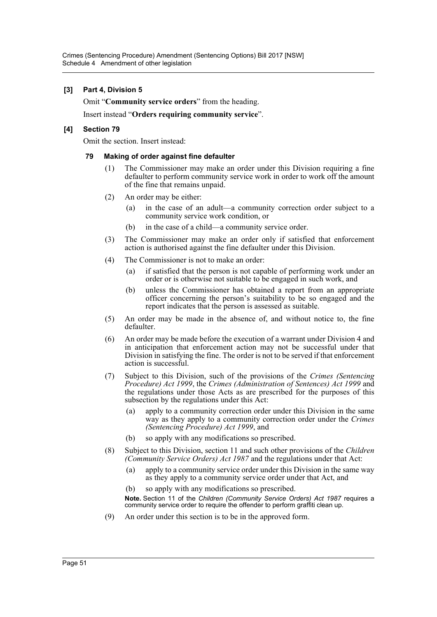## **[3] Part 4, Division 5**

Omit "**Community service orders**" from the heading.

Insert instead "**Orders requiring community service**".

#### **[4] Section 79**

Omit the section. Insert instead:

#### **79 Making of order against fine defaulter**

- (1) The Commissioner may make an order under this Division requiring a fine defaulter to perform community service work in order to work off the amount of the fine that remains unpaid.
- (2) An order may be either:
	- (a) in the case of an adult—a community correction order subject to a community service work condition, or
	- (b) in the case of a child—a community service order.
- (3) The Commissioner may make an order only if satisfied that enforcement action is authorised against the fine defaulter under this Division.
- (4) The Commissioner is not to make an order:
	- (a) if satisfied that the person is not capable of performing work under an order or is otherwise not suitable to be engaged in such work, and
	- (b) unless the Commissioner has obtained a report from an appropriate officer concerning the person's suitability to be so engaged and the report indicates that the person is assessed as suitable.
- (5) An order may be made in the absence of, and without notice to, the fine defaulter.
- (6) An order may be made before the execution of a warrant under Division 4 and in anticipation that enforcement action may not be successful under that Division in satisfying the fine. The order is not to be served if that enforcement action is successful.
- (7) Subject to this Division, such of the provisions of the *Crimes (Sentencing Procedure) Act 1999*, the *Crimes (Administration of Sentences) Act 1999* and the regulations under those Acts as are prescribed for the purposes of this subsection by the regulations under this Act:
	- (a) apply to a community correction order under this Division in the same way as they apply to a community correction order under the *Crimes (Sentencing Procedure) Act 1999*, and
	- (b) so apply with any modifications so prescribed.
- (8) Subject to this Division, section 11 and such other provisions of the *Children (Community Service Orders) Act 1987* and the regulations under that Act:
	- (a) apply to a community service order under this Division in the same way as they apply to a community service order under that Act, and
	- (b) so apply with any modifications so prescribed.

**Note.** Section 11 of the *Children (Community Service Orders) Act 1987* requires a community service order to require the offender to perform graffiti clean up.

(9) An order under this section is to be in the approved form.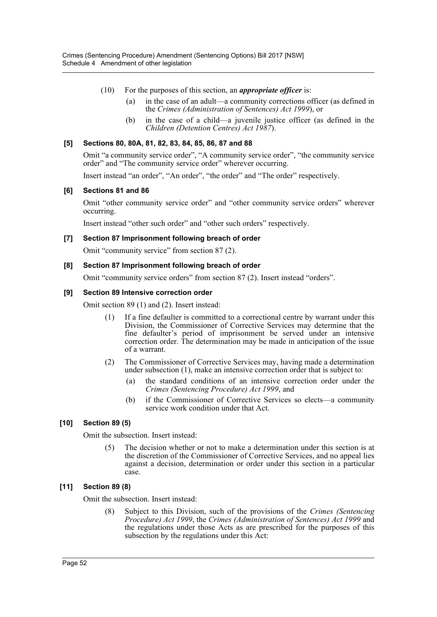- (10) For the purposes of this section, an *appropriate officer* is:
	- (a) in the case of an adult—a community corrections officer (as defined in the *Crimes (Administration of Sentences) Act 1999*), or
	- (b) in the case of a child—a juvenile justice officer (as defined in the *Children (Detention Centres) Act 1987*).

## **[5] Sections 80, 80A, 81, 82, 83, 84, 85, 86, 87 and 88**

Omit "a community service order", "A community service order", "the community service order" and "The community service order" wherever occurring.

Insert instead "an order", "An order", "the order" and "The order" respectively.

## **[6] Sections 81 and 86**

Omit "other community service order" and "other community service orders" wherever occurring.

Insert instead "other such order" and "other such orders" respectively.

#### **[7] Section 87 Imprisonment following breach of order**

Omit "community service" from section 87 (2).

#### **[8] Section 87 Imprisonment following breach of order**

Omit "community service orders" from section 87 (2). Insert instead "orders".

#### **[9] Section 89 Intensive correction order**

Omit section 89 (1) and (2). Insert instead:

- (1) If a fine defaulter is committed to a correctional centre by warrant under this Division, the Commissioner of Corrective Services may determine that the fine defaulter's period of imprisonment be served under an intensive correction order. The determination may be made in anticipation of the issue of a warrant.
- (2) The Commissioner of Corrective Services may, having made a determination under subsection (1), make an intensive correction order that is subject to:
	- (a) the standard conditions of an intensive correction order under the *Crimes (Sentencing Procedure) Act 1999*, and
	- (b) if the Commissioner of Corrective Services so elects—a community service work condition under that Act.

## **[10] Section 89 (5)**

Omit the subsection. Insert instead:

(5) The decision whether or not to make a determination under this section is at the discretion of the Commissioner of Corrective Services, and no appeal lies against a decision, determination or order under this section in a particular case.

#### **[11] Section 89 (8)**

Omit the subsection. Insert instead:

(8) Subject to this Division, such of the provisions of the *Crimes (Sentencing Procedure) Act 1999*, the *Crimes (Administration of Sentences) Act 1999* and the regulations under those Acts as are prescribed for the purposes of this subsection by the regulations under this Act: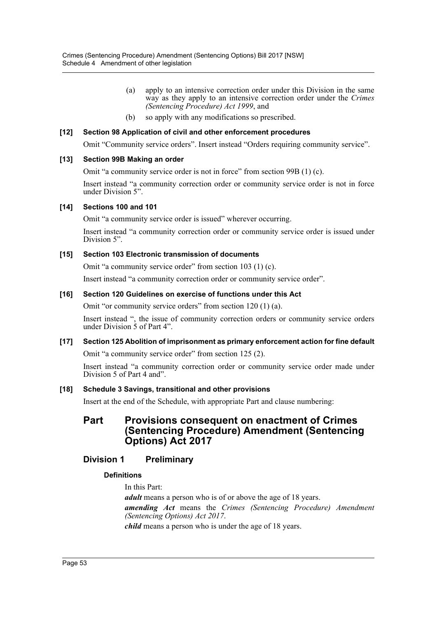- (a) apply to an intensive correction order under this Division in the same way as they apply to an intensive correction order under the *Crimes (Sentencing Procedure) Act 1999*, and
- (b) so apply with any modifications so prescribed.

## **[12] Section 98 Application of civil and other enforcement procedures**

Omit "Community service orders". Insert instead "Orders requiring community service".

## **[13] Section 99B Making an order**

Omit "a community service order is not in force" from section 99B (1) (c).

Insert instead "a community correction order or community service order is not in force under Division 5".

## **[14] Sections 100 and 101**

Omit "a community service order is issued" wherever occurring.

Insert instead "a community correction order or community service order is issued under Division 5".

## **[15] Section 103 Electronic transmission of documents**

Omit "a community service order" from section 103 (1) (c).

Insert instead "a community correction order or community service order".

## **[16] Section 120 Guidelines on exercise of functions under this Act**

Omit "or community service orders" from section 120 (1) (a).

Insert instead ", the issue of community correction orders or community service orders under Division  $\tilde{5}$  of Part 4".

## **[17] Section 125 Abolition of imprisonment as primary enforcement action for fine default**

Omit "a community service order" from section 125 (2).

Insert instead "a community correction order or community service order made under Division 5 of Part 4 and".

## **[18] Schedule 3 Savings, transitional and other provisions**

Insert at the end of the Schedule, with appropriate Part and clause numbering:

## **Part Provisions consequent on enactment of Crimes (Sentencing Procedure) Amendment (Sentencing Options) Act 2017**

## **Division 1 Preliminary**

## **Definitions**

In this Part: *adult* means a person who is of or above the age of 18 years. *amending Act* means the *Crimes (Sentencing Procedure) Amendment (Sentencing Options) Act 2017*. *child* means a person who is under the age of 18 years.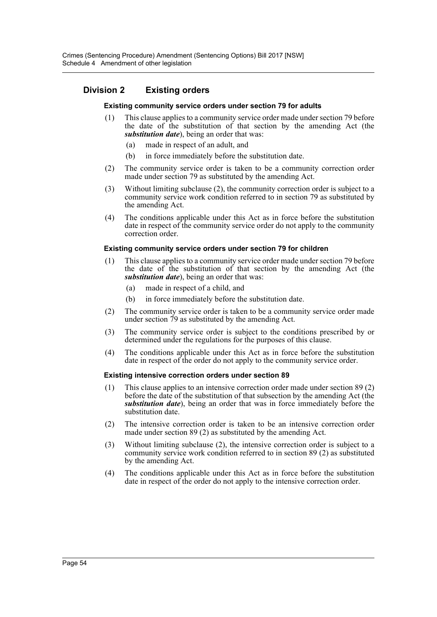## **Division 2 Existing orders**

#### **Existing community service orders under section 79 for adults**

- (1) This clause applies to a community service order made under section 79 before the date of the substitution of that section by the amending Act (the *substitution date*), being an order that was:
	- (a) made in respect of an adult, and
	- (b) in force immediately before the substitution date.
- (2) The community service order is taken to be a community correction order made under section 79 as substituted by the amending Act.
- (3) Without limiting subclause (2), the community correction order is subject to a community service work condition referred to in section 79 as substituted by the amending Act.
- (4) The conditions applicable under this Act as in force before the substitution date in respect of the community service order do not apply to the community correction order.

#### **Existing community service orders under section 79 for children**

- (1) This clause applies to a community service order made under section 79 before the date of the substitution of that section by the amending Act (the *substitution date*), being an order that was:
	- (a) made in respect of a child, and
	- (b) in force immediately before the substitution date.
- (2) The community service order is taken to be a community service order made under section 79 as substituted by the amending Act.
- (3) The community service order is subject to the conditions prescribed by or determined under the regulations for the purposes of this clause.
- (4) The conditions applicable under this Act as in force before the substitution date in respect of the order do not apply to the community service order.

#### **Existing intensive correction orders under section 89**

- (1) This clause applies to an intensive correction order made under section 89 (2) before the date of the substitution of that subsection by the amending Act (the *substitution date*), being an order that was in force immediately before the substitution date.
- (2) The intensive correction order is taken to be an intensive correction order made under section 89 (2) as substituted by the amending Act.
- (3) Without limiting subclause (2), the intensive correction order is subject to a community service work condition referred to in section 89 (2) as substituted by the amending Act.
- (4) The conditions applicable under this Act as in force before the substitution date in respect of the order do not apply to the intensive correction order.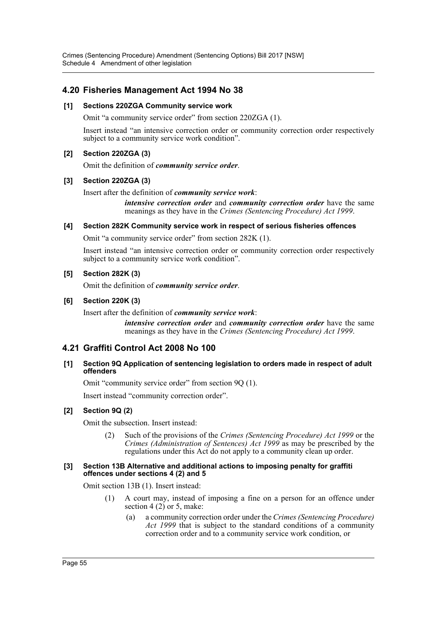Crimes (Sentencing Procedure) Amendment (Sentencing Options) Bill 2017 [NSW] Schedule 4 Amendment of other legislation

## **4.20 Fisheries Management Act 1994 No 38**

#### **[1] Sections 220ZGA Community service work**

Omit "a community service order" from section 220ZGA (1).

Insert instead "an intensive correction order or community correction order respectively subject to a community service work condition".

## **[2] Section 220ZGA (3)**

Omit the definition of *community service order*.

## **[3] Section 220ZGA (3)**

Insert after the definition of *community service work*:

*intensive correction order* and *community correction order* have the same meanings as they have in the *Crimes (Sentencing Procedure) Act 1999*.

#### **[4] Section 282K Community service work in respect of serious fisheries offences**

Omit "a community service order" from section 282K (1).

Insert instead "an intensive correction order or community correction order respectively subject to a community service work condition".

#### **[5] Section 282K (3)**

Omit the definition of *community service order*.

#### **[6] Section 220K (3)**

Insert after the definition of *community service work*:

*intensive correction order* and *community correction order* have the same meanings as they have in the *Crimes (Sentencing Procedure) Act 1999*.

## **4.21 Graffiti Control Act 2008 No 100**

#### **[1] Section 9Q Application of sentencing legislation to orders made in respect of adult offenders**

Omit "community service order" from section 9Q (1).

Insert instead "community correction order".

#### **[2] Section 9Q (2)**

Omit the subsection. Insert instead:

(2) Such of the provisions of the *Crimes (Sentencing Procedure) Act 1999* or the *Crimes (Administration of Sentences) Act 1999* as may be prescribed by the regulations under this Act do not apply to a community clean up order.

#### **[3] Section 13B Alternative and additional actions to imposing penalty for graffiti offences under sections 4 (2) and 5**

Omit section 13B (1). Insert instead:

- (1) A court may, instead of imposing a fine on a person for an offence under section  $4(2)$  or 5, make:
	- (a) a community correction order under the *Crimes (Sentencing Procedure) Act 1999* that is subject to the standard conditions of a community correction order and to a community service work condition, or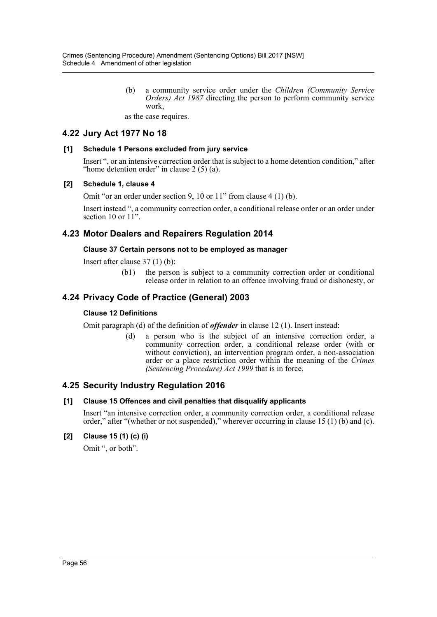(b) a community service order under the *Children (Community Service Orders) Act 1987* directing the person to perform community service work,

as the case requires.

## **4.22 Jury Act 1977 No 18**

## **[1] Schedule 1 Persons excluded from jury service**

Insert ", or an intensive correction order that is subject to a home detention condition," after "home detention order" in clause  $2(5)(a)$ .

## **[2] Schedule 1, clause 4**

Omit "or an order under section 9, 10 or 11" from clause 4 (1) (b).

Insert instead ", a community correction order, a conditional release order or an order under section 10 or  $11$ ".

## **4.23 Motor Dealers and Repairers Regulation 2014**

#### **Clause 37 Certain persons not to be employed as manager**

Insert after clause 37 (1) (b):

(b1) the person is subject to a community correction order or conditional release order in relation to an offence involving fraud or dishonesty, or

## **4.24 Privacy Code of Practice (General) 2003**

#### **Clause 12 Definitions**

Omit paragraph (d) of the definition of *offender* in clause 12 (1). Insert instead:

(d) a person who is the subject of an intensive correction order, a community correction order, a conditional release order (with or without conviction), an intervention program order, a non-association order or a place restriction order within the meaning of the *Crimes (Sentencing Procedure) Act 1999* that is in force,

## **4.25 Security Industry Regulation 2016**

#### **[1] Clause 15 Offences and civil penalties that disqualify applicants**

Insert "an intensive correction order, a community correction order, a conditional release order," after "(whether or not suspended)," wherever occurring in clause 15 (1) (b) and (c).

## **[2] Clause 15 (1) (c) (i)**

Omit ", or both".